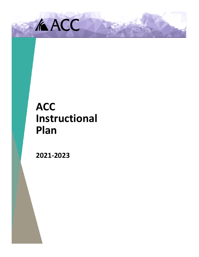

# **ACC Instructional Plan**

**2021-2023**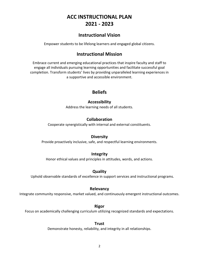# **ACC INSTRUCTIONAL PLAN 2021 - 2023**

# **Instructional Vision**

Empower students to be lifelong learners and engaged global citizens.

# **Instructional Mission**

Embrace current and emerging educational practices that inspire faculty and staff to engage all individuals pursuing learning opportunities and facilitate successful goal completion. Transform students' lives by providing unparalleled learning experiences in a supportive and accessible environment.

# **Beliefs**

# **Accessibility**

Address the learning needs of all students.

# **Collaboration**

Cooperate synergistically with internal and external constituents.

# **Diversity**

Provide proactively inclusive, safe, and respectful learning environments.

# **Integrity**

Honor ethical values and principles in attitudes, words, and actions.

# **Quality**

Uphold observable standards of excellence in support services and instructional programs.

# **Relevancy**

Integrate community responsive, market valued, and continuously emergent instructional outcomes.

#### **Rigor**

Focus on academically challenging curriculum utilizing recognized standards and expectations.

# **Trust**

Demonstrate honesty, reliability, and integrity in all relationships.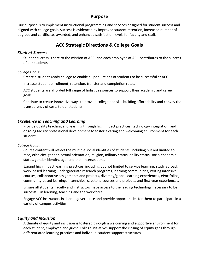# **Purpose**

Our purpose is to implement instructional programming and services designed for student success and aligned with college goals. Success is evidenced by improved student retention, increased number of degrees and certificates awarded, and enhanced satisfaction levels for faculty and staff.

# **ACC Strategic Directions & College Goals**

#### *Student Success*

Student success is core to the mission of ACC, and each employee at ACC contributes to the success of our students.

#### *College Goals:*

Create a student-ready college to enable all populations of students to be successful at ACC.

Increase student enrollment, retention, transfer and completion rates.

ACC students are afforded full range of holistic resources to support their academic and career goals.

Continue to create innovative ways to provide college and skill building affordability and convey the transparency of costs to our students.

## *Excellence in Teaching and Learning*

Provide quality teaching and learning through high impact practices, technology integration, and ongoing faculty professional development to foster a caring and welcoming environment for each student.

#### *College Goals:*

Course content will reflect the multiple social identities of students, including but not limited to race, ethnicity, gender, sexual orientation, religion, military status, ability status, socio-economic status, gender identity, age, and their intersections.

Expand high impact learning practices, including but not limited to service learning, study abroad, work-based learning, undergraduate research programs, learning communities, writing intensive courses, collaborative assignments and projects, diversity/global learning experiences, ePortfolios, community-based learning, internships, capstone courses and projects, and first-year experiences.

Ensure all students, faculty and instructors have access to the leading technology necessary to be successful in learning, teaching and the workforce.

Engage ACC instructors in shared governance and provide opportunities for them to participate in a variety of campus activities.

# *Equity and Inclusion*

A climate of equity and inclusion is fostered through a welcoming and supportive environment for each student, employee and guest. College initiatives support the closing of equity gaps through differentiated learning practices and individual student support structures.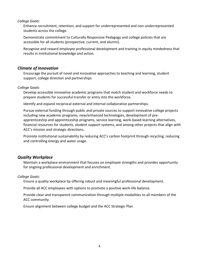#### *College Goals:*

Enhance recruitment, retention, and support for underrepresented and non-underrepresented students across the college.

Demonstrate commitment to Culturally Responsive Pedagogy and college policies that are accessible for all students (prospective, current, and alumni).

Recognize and reward employee professional development and training in equity mindedness that results in institutional knowledge and action.

#### *Climate of Innovation*

Encourage the pursuit of novel and innovative approaches to teaching and learning, student support, college direction and partnerships

#### *College Goals:*

Develop accessible innovative academic programs that match student and workforce needs to prepare students for successful transfer or entry into the workforce.

Identify and expand reciprocal external and internal collaborative partnerships.

Pursue external funding through public and private sources to support innovative college projects including new academic programs, new/enhanced technologies, development of preapprenticeship and apprenticeship programs, service learning, work-based learning alternatives, financial resources for students, student support systems, and among other projects that align with ACC's mission and strategic directions.

Promote institutional sustainability by reducing ACC's carbon footprint through recycling, reducing and controlling energy and water usage.

#### *Quality Workplace*

Maintain a workplace environment that focuses on employee strengths and provides opportunity for ongoing professional development and enrichment.

#### *College Goals:*

Ensure a quality workplace by offering robust and meaningful professional development.

Provide all ACC employees with options to promote a positive work-life balance.

Provide clear and transparent communication through multiple modalities to all members of the ACC community.

Ensure alignment between college budget and the ACC Strategic Plan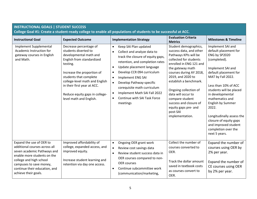| <b>INSTRUCTIONAL GOALS   STUDENT SUCCESS</b><br>College Goal #1: Create a student-ready college to enable all populations of students to be successful at ACC.                                                                         |                                                                                                                                                                                                                                                                                                                                    |                                                                                                                                                                                                                                                                                                                                                                                                                                                                                               |                                                                                                                                                                                                                                                                                                                                                                                                                                 |                                                                                                                                                                                                                                                                                                                                                                                                                                   |
|----------------------------------------------------------------------------------------------------------------------------------------------------------------------------------------------------------------------------------------|------------------------------------------------------------------------------------------------------------------------------------------------------------------------------------------------------------------------------------------------------------------------------------------------------------------------------------|-----------------------------------------------------------------------------------------------------------------------------------------------------------------------------------------------------------------------------------------------------------------------------------------------------------------------------------------------------------------------------------------------------------------------------------------------------------------------------------------------|---------------------------------------------------------------------------------------------------------------------------------------------------------------------------------------------------------------------------------------------------------------------------------------------------------------------------------------------------------------------------------------------------------------------------------|-----------------------------------------------------------------------------------------------------------------------------------------------------------------------------------------------------------------------------------------------------------------------------------------------------------------------------------------------------------------------------------------------------------------------------------|
| <b>Instructional Goal</b><br>Implement Supplemental<br>Academic Instruction for<br>gateway courses in English<br>and Math.                                                                                                             | <b>Expected Outcome</b><br>Decrease percentage of<br>students diverted to<br>developmental math and<br>English from standardized<br>testing.<br>Increase the proportion of<br>students that complete<br>college-level math and English<br>in their first year at ACC.<br>Reduce equity gaps in college-<br>level math and English. | <b>Implementation Strategy</b><br>Keep SAI Plan updated<br>$\bullet$<br>Collect and analyze data to<br>$\bullet$<br>track the closure of equity gaps,<br>retention, and completion rates<br>Update placement language<br>$\bullet$<br>Develop CCR 094 curriculum<br>$\bullet$<br>Implement ENG SAI<br>$\bullet$<br>Develop Pathway-specific<br>$\bullet$<br>corequisite math curriculum<br>Implement Math SAI Fall 2022<br>$\bullet$<br>Continue with SAI Task Force<br>$\bullet$<br>meetings | <b>Evaluation Criteria</b><br><b>Metrics</b><br>Student demographics,<br>success data, and other<br>Pathways KPIs will be<br>collected for students<br>enrolled in ENG 121 and<br>the gateway math<br>courses during AY 2018,<br>2019, and 2020 to<br>establish a benchmark.<br>Ongoing collection of<br>data will occur to<br>compare student<br>success and closure of<br>equity gaps pre- and<br>post-SAI<br>implementation. | <b>Milestones &amp; Timeline</b><br>Implement SAI and<br>default placement for<br>ENG by SP2020<br>(completed).<br>Implement SAI and<br>default placement for<br>MAT by Fall 2022.<br>Less than 10% of ACC<br>students will be placed<br>in developmental<br>mathematics and<br>English by Summer<br>2022.<br>Longitudinally assess the<br>closure of equity gaps<br>and improved student<br>completion over the<br>next 5 years. |
| Expand the use of OER to<br>additional courses across all<br>seven academic Pathways and<br>enable more students on the<br>college and high school<br>campuses to save money,<br>continue their education, and<br>achieve their goals. | Improved affordability of<br>college, expanded access, and<br>improved equity.<br>Increase student learning and<br>retention via day one access.                                                                                                                                                                                   | Ongoing OER grant work<br>$\bullet$<br>Review cost savings data<br>$\bullet$<br>Review student success data in<br>$\bullet$<br>OER courses compared to non-<br><b>OER</b> courses<br>Continue subcommittee work<br>$\bullet$<br>(communication/marketing,                                                                                                                                                                                                                                     | Collect the number of<br>courses converted to<br>OER.<br>Track the dollar amount<br>saved in textbook costs<br>as courses convert to<br>OER.                                                                                                                                                                                                                                                                                    | Expand the number of<br>courses using OER by<br>2% per year.<br>Expand the number of<br>CE courses using OER<br>by 2% per year.                                                                                                                                                                                                                                                                                                   |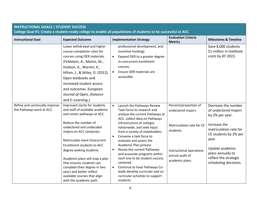| <b>INSTRUCTIONAL GOALS   STUDENT SUCCESS</b>                |                                                                                                                                                                                                                                                                                                                                                                                                           |                                                                                                                                                                                                                                                                                                                                                                                                                                                                                                                                                  |                                                                                                                                                         |                                                                                                                                                                                                                                      |  |
|-------------------------------------------------------------|-----------------------------------------------------------------------------------------------------------------------------------------------------------------------------------------------------------------------------------------------------------------------------------------------------------------------------------------------------------------------------------------------------------|--------------------------------------------------------------------------------------------------------------------------------------------------------------------------------------------------------------------------------------------------------------------------------------------------------------------------------------------------------------------------------------------------------------------------------------------------------------------------------------------------------------------------------------------------|---------------------------------------------------------------------------------------------------------------------------------------------------------|--------------------------------------------------------------------------------------------------------------------------------------------------------------------------------------------------------------------------------------|--|
|                                                             |                                                                                                                                                                                                                                                                                                                                                                                                           | College Goal #1: Create a student-ready college to enable all populations of students to be successful at ACC.                                                                                                                                                                                                                                                                                                                                                                                                                                   |                                                                                                                                                         |                                                                                                                                                                                                                                      |  |
| <b>Instructional Goal</b>                                   | <b>Expected Outcome</b>                                                                                                                                                                                                                                                                                                                                                                                   | <b>Implementation Strategy</b>                                                                                                                                                                                                                                                                                                                                                                                                                                                                                                                   | <b>Evaluation Criteria</b><br><b>Metrics</b>                                                                                                            | <b>Milestones &amp; Timeline</b>                                                                                                                                                                                                     |  |
|                                                             | Lower withdrawal and higher<br>course completion rates for<br>courses using OER materials.<br>(Feldstein, A., Martin, M.,<br>Hudson, A., Warren, K.,<br>Hilton, J., & Wiley, D. (2012).<br>Open textbooks and<br>increased student access<br>and outcomes. European<br>Journal of Open, Distance<br>and E-Learning.)                                                                                      | professional development, and<br>incentive funding)<br>Expand OER to a greater degree<br>$\bullet$<br>in concurrent enrollment<br>courses<br>Ensure OER materials are<br>$\bullet$<br>accessible                                                                                                                                                                                                                                                                                                                                                 |                                                                                                                                                         | Save 8,000 students<br>\$1 million in textbook<br>costs by AY 2022.                                                                                                                                                                  |  |
| Refine and continually improve<br>the Pathways work at ACC. | Improved clarity for students<br>and staff of available academic<br>and career pathways at ACC.<br>Reduce the number of<br>undeclared and undecided<br>majors on ACC campuses.<br>Matriculate more Concurrent<br><b>Enrollment students to ACC</b><br>degree seeking students.<br>Academic plans will map a plan<br>that ensures students can<br>complete their degree in two<br>years and better reflect | Launch the Pathways Review<br>$\bullet$<br>Task Force to research and<br>analyze the current Pathways at<br>ACC, collect data on Pathways<br>infrastructure at colleges<br>nationwide, and seek input<br>from a variety of stakeholders<br>Convene a task force to<br>$\bullet$<br>evaluate and assess the<br>Academic Plan process<br>Revise the current Pathways<br>$\bullet$<br>and associate programs within<br>each one to be student success<br>centered<br>Continue to have Pathways Co-<br>$\bullet$<br>leads develop curricular and co- | Percent/proportion of<br>undeclared majors.<br>Matriculation rate for CE<br>students.<br>Instructional operations<br>annual audit of<br>academic plans. | Decrease the number<br>of undeclared majors<br>by 2% per year.<br>Increase the<br>matriculation rate for<br>CE students by 2% per<br>year.<br>Update academic<br>plans annually to<br>reflect the strategic<br>scheduling decisions. |  |
|                                                             | available courses that align<br>with the academic path.                                                                                                                                                                                                                                                                                                                                                   | curricular activities to support<br>students                                                                                                                                                                                                                                                                                                                                                                                                                                                                                                     |                                                                                                                                                         |                                                                                                                                                                                                                                      |  |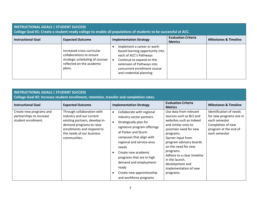| <b>INSTRUCTIONAL GOALS   STUDENT SUCCESS</b><br>College Goal #1: Create a student-ready college to enable all populations of students to be successful at ACC. |                                                                                                                                  |                                                                                                                                                                                                                |                                              |                                  |
|----------------------------------------------------------------------------------------------------------------------------------------------------------------|----------------------------------------------------------------------------------------------------------------------------------|----------------------------------------------------------------------------------------------------------------------------------------------------------------------------------------------------------------|----------------------------------------------|----------------------------------|
| <b>Instructional Goal</b>                                                                                                                                      | <b>Expected Outcome</b>                                                                                                          | <b>Implementation Strategy</b>                                                                                                                                                                                 | <b>Evaluation Criteria</b><br><b>Metrics</b> | <b>Milestones &amp; Timeline</b> |
|                                                                                                                                                                | Increased cross-curricular<br>collaborations to ensure<br>strategic scheduling of courses<br>reflected on the academic<br>plans. | Implement a career or work-<br>based learning opportunity into<br>each of ACC's Pathways<br>Continue to expand on the<br>extension of Pathways into<br>concurrent enrollment course<br>and credential planning |                                              |                                  |

| <b>INSTRUCTIONAL GOALS   STUDENT SUCCESS</b><br>College Goal #2: Increase student enrollment, retention, transfer and completion rates. |                                                                                                                                                                                                 |                                                                                                                                                                                                                                                                                                                                                                                                           |                                                                                                                                                                                                                                                                                                                                         |                                                                                                                                    |
|-----------------------------------------------------------------------------------------------------------------------------------------|-------------------------------------------------------------------------------------------------------------------------------------------------------------------------------------------------|-----------------------------------------------------------------------------------------------------------------------------------------------------------------------------------------------------------------------------------------------------------------------------------------------------------------------------------------------------------------------------------------------------------|-----------------------------------------------------------------------------------------------------------------------------------------------------------------------------------------------------------------------------------------------------------------------------------------------------------------------------------------|------------------------------------------------------------------------------------------------------------------------------------|
| <b>Instructional Goal</b>                                                                                                               | <b>Expected Outcome</b>                                                                                                                                                                         | <b>Implementation Strategy</b>                                                                                                                                                                                                                                                                                                                                                                            | <b>Evaluation Criteria</b><br><b>Metrics</b>                                                                                                                                                                                                                                                                                            | <b>Milestones &amp; Timeline</b>                                                                                                   |
| Create new programs and<br>partnerships to increase<br>student enrollment.                                                              | Through collaboration with<br>industry and our current<br>existing partners, develop in-<br>demand programs to raise<br>enrollments and respond to<br>the needs of our business<br>communities. | Collaborate with regional<br>$\bullet$<br>industry-sector partners<br>Strategically plan for<br>$\bullet$<br>signature program offerings<br>at Parker and Sturm<br>campuses that align with<br>regional and service-area<br>needs<br>Create new academic<br>$\bullet$<br>programs that are in high<br>demand and employment-<br>ready<br>Create new apprenticeship<br>$\bullet$<br>and workforce programs | Use data from relevant<br>sources such as BLS and<br>websites such as Indeed<br>and similar ones to<br>ascertain need for new<br>programs.<br>Garner input from<br>program advisory boards<br>on the need for new<br>programs.<br>Adhere to a clear timeline<br>in the launch,<br>development and<br>implementation of new<br>programs. | Identification of needs<br>for new programs one in<br>each semester<br>Completion of new<br>program at the end of<br>each semester |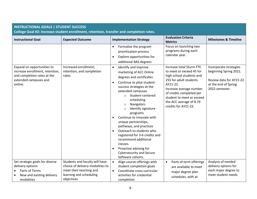| <b>INSTRUCTIONAL GOALS   STUDENT SUCCESS</b>                                                                                     |                                                                                         |                                                                                                                                                                                                                                                                                                                                                                                                                                                                                                                                                                                                                                                                                                              |                                                                                                                                                                                                                                                                                                                                   |                                                                                                                       |
|----------------------------------------------------------------------------------------------------------------------------------|-----------------------------------------------------------------------------------------|--------------------------------------------------------------------------------------------------------------------------------------------------------------------------------------------------------------------------------------------------------------------------------------------------------------------------------------------------------------------------------------------------------------------------------------------------------------------------------------------------------------------------------------------------------------------------------------------------------------------------------------------------------------------------------------------------------------|-----------------------------------------------------------------------------------------------------------------------------------------------------------------------------------------------------------------------------------------------------------------------------------------------------------------------------------|-----------------------------------------------------------------------------------------------------------------------|
|                                                                                                                                  | College Goal #2: Increase student enrollment, retention, transfer and completion rates. |                                                                                                                                                                                                                                                                                                                                                                                                                                                                                                                                                                                                                                                                                                              |                                                                                                                                                                                                                                                                                                                                   |                                                                                                                       |
| <b>Instructional Goal</b>                                                                                                        | <b>Expected Outcome</b>                                                                 | <b>Implementation Strategy</b>                                                                                                                                                                                                                                                                                                                                                                                                                                                                                                                                                                                                                                                                               | <b>Evaluation Criteria</b><br><b>Metrics</b>                                                                                                                                                                                                                                                                                      | <b>Milestones &amp; Timeline</b>                                                                                      |
| Expand on opportunities to<br>increase enrollment, retention,<br>and completion rates at the<br>extended campuses and<br>online. | Increased enrollment,<br>retention, and completion<br>rates                             | Formalize the program<br>$\bullet$<br>prioritization process<br>Explore opportunities for<br>$\bullet$<br>additional BAS degrees<br>Identify and improve<br>$\bullet$<br>marketing of ACC Online<br>degrees and certificates<br>Continue to pilot student-<br>$\bullet$<br>success strategies at the<br>extended campuses<br>o Student-centered<br>scheduling<br>Navigators<br>$\circ$<br>Identify signature<br>$\circ$<br>programs<br>Continue to innovate with<br>unique partnerships,<br>pathways, and practices<br>Outreach to students who<br>$\bullet$<br>registered for 3-6 credits and<br>recommend additional<br>classes.<br>Proactive advising for<br>$\bullet$<br><b>Cybersecurity and Secure</b> | Focus on launching two<br>programs during each<br>calendar year.<br>Increase total Sturm FTE<br>to meet or exceed 45 for<br>high school students and<br>255 for adult students<br>AY21-22.<br>Increase average number<br>of credits completed per<br>student to meet or exceed<br>the ACC average of 8.79<br>credits for AY21-22. | Incorporate strategies<br>beginning Spring 2021.<br>Review data for AY21-22<br>at the end of Spring<br>2022 semester. |
| Set strategic goals for diverse                                                                                                  | Students and faculty will have                                                          | Software cohorts.<br>Align course offerings with<br>$\bullet$                                                                                                                                                                                                                                                                                                                                                                                                                                                                                                                                                                                                                                                | Parts of term offerings<br>$\bullet$                                                                                                                                                                                                                                                                                              | Analysis of needed                                                                                                    |
| delivery options:                                                                                                                | choice of delivery modalities to                                                        | student completion goals                                                                                                                                                                                                                                                                                                                                                                                                                                                                                                                                                                                                                                                                                     | are available to meet                                                                                                                                                                                                                                                                                                             | delivery options for                                                                                                  |
| Parts of Terms                                                                                                                   | meet their teaching and                                                                 | Coordinate cross-curricular<br>$\bullet$                                                                                                                                                                                                                                                                                                                                                                                                                                                                                                                                                                                                                                                                     | major degree plan                                                                                                                                                                                                                                                                                                                 | each major degree to                                                                                                  |
| New and existing delivery<br>modalities                                                                                          | learning and scheduling<br>objectives                                                   | activities for credential<br>completion                                                                                                                                                                                                                                                                                                                                                                                                                                                                                                                                                                                                                                                                      | schedules, with at                                                                                                                                                                                                                                                                                                                | meet student needs.                                                                                                   |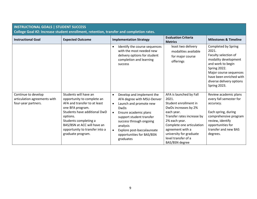| <b>INSTRUCTIONAL GOALS   STUDENT SUCCESS</b><br>College Goal #2: Increase student enrollment, retention, transfer and completion rates. |                                                                                                                                                                                                                                                                    |                                                                                                                                                                                                                                                                                                                          |                                                                                                                                                                                                                                                                     |                                                                                                                                                                                                                    |  |
|-----------------------------------------------------------------------------------------------------------------------------------------|--------------------------------------------------------------------------------------------------------------------------------------------------------------------------------------------------------------------------------------------------------------------|--------------------------------------------------------------------------------------------------------------------------------------------------------------------------------------------------------------------------------------------------------------------------------------------------------------------------|---------------------------------------------------------------------------------------------------------------------------------------------------------------------------------------------------------------------------------------------------------------------|--------------------------------------------------------------------------------------------------------------------------------------------------------------------------------------------------------------------|--|
| <b>Instructional Goal</b>                                                                                                               | <b>Expected Outcome</b>                                                                                                                                                                                                                                            | <b>Implementation Strategy</b>                                                                                                                                                                                                                                                                                           | <b>Evaluation Criteria</b><br><b>Metrics</b>                                                                                                                                                                                                                        | <b>Milestones &amp; Timeline</b>                                                                                                                                                                                   |  |
|                                                                                                                                         |                                                                                                                                                                                                                                                                    | Identify the course sequences<br>$\bullet$<br>with the most needed new<br>delivery options for student<br>completion and learning<br>success                                                                                                                                                                             | least two delivery<br>modalities available<br>for major course<br>offerings                                                                                                                                                                                         | Completed by Spring<br>2021.<br>Faculty selection of<br>modality development<br>and work to begin<br>Spring 2022.<br>Major course sequences<br>have been enriched with<br>diverse delivery options<br>Spring 2023. |  |
| Continue to develop<br>articulation agreements with<br>four-year partners.                                                              | Students will have an<br>opportunity to complete an<br>AFA and transfer to at least<br>one BFA program.<br>Students have additional DwD<br>options.<br>Students completing a<br>BAS/BSN at ACC will have an<br>opportunity to transfer into a<br>graduate program. | Develop and implement the<br>$\bullet$<br>AFA degree with MSU-Denver<br>Launch and promote new<br>$\bullet$<br><b>DwDs</b><br>Ensure academic plans<br>$\bullet$<br>support student transfer<br>success through ongoing<br>analysis<br>Explore post-baccalaureate<br>$\bullet$<br>opportunities for BAS/BSN<br>graduates | AFA is launched by Fall<br>2021.<br>Student enrollment in<br>DwDs increases by 2%<br>each year.<br>Transfer rates increase by<br>2% each year.<br>Complete one articulation<br>agreement with a<br>university for graduate<br>level transfer of a<br>BAS/BSN degree | Review academic plans<br>every fall semester for<br>accuracy.<br>Each spring, during<br>comprehensive program<br>review, identify<br>opportunities for<br>transfer and new BAS<br>degrees.                         |  |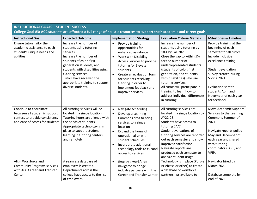# **INSTRUCTIONAL GOALS | STUDENT SUCCESS**

**College Goal #3: ACC students are afforded a full range of holistic resources to support their academic and career goals.** 

| <b>Instructional Goal</b>                                                                                                   | <b>Expected Outcome</b>                                                                                                                                                                                                                                                                        |                                                  | <b>Implementation Strategy</b>                                                                                                                                                                                                                                                       | <b>Evaluation Criteria Metrics</b>                                                                                                                                                                                                                                                                                                                                                     | <b>Milestones &amp; Timeline</b>                                                                                                                                                                                                                                           |
|-----------------------------------------------------------------------------------------------------------------------------|------------------------------------------------------------------------------------------------------------------------------------------------------------------------------------------------------------------------------------------------------------------------------------------------|--------------------------------------------------|--------------------------------------------------------------------------------------------------------------------------------------------------------------------------------------------------------------------------------------------------------------------------------------|----------------------------------------------------------------------------------------------------------------------------------------------------------------------------------------------------------------------------------------------------------------------------------------------------------------------------------------------------------------------------------------|----------------------------------------------------------------------------------------------------------------------------------------------------------------------------------------------------------------------------------------------------------------------------|
| Ensure tutors tailor their<br>academic assistance to each<br>student's unique needs and<br>abilities                        | Increase the number of<br>students using tutoring<br>services.<br>Increase the number of<br>students of color, first<br>generation students, and<br>students with disabilities using<br>tutoring services.<br>Tutors have received the<br>appropriate training to support<br>diverse students. | $\bullet$<br>$\bullet$<br>$\bullet$              | Provide training<br>opportunities for<br>enhanced assistance<br>Work with Disability<br>Access Services to provide<br>tutoring for Elevate<br>students<br>Create an evaluation form<br>for students receiving<br>tutoring in order to<br>implement feedback and<br>improve services. | Increase the number of<br>students using tutoring by<br>10% by Fall 2023.<br>Close the gap to within 5%<br>for the number of<br>underrepresented students<br>(students of color, first<br>generation, and students<br>with disabilities) who use<br>tutoring services.<br>All tutors will participate in<br>training to learn how to<br>address individual differences<br>in tutoring. | Provide training at the<br>beginning of each<br>semester for all tutors.<br>Include inclusive<br>excellence training.<br>Student evaluation<br>survey created during<br>Spring 2021.<br>Evaluation sent to<br>students April and<br>November of each year<br>for feedback. |
| Continue to coordinate<br>between all academic support<br>centers to provide consistency<br>and ease of access for students | All tutoring services will be<br>located in a single location.<br>Tutoring hours are aligned with<br>the needs of students.<br>Appropriate technology is in<br>place to support student<br>learning in tutoring centers<br>and remotely.                                                       | $\bullet$<br>$\bullet$<br>$\bullet$<br>$\bullet$ | Navigate scheduling<br>Develop a Learning<br>Commons area to bring<br>services to a single<br>location<br>Expand the hours of<br>operation align with<br>student schedules<br>Incorporate additional<br>technology tools to expand<br>access to services                             | All tutoring services are<br>located in a single location by<br>AY22-23.<br>Students have access to<br>tutoring 24/7.<br>Student evaluations of<br>tutoring services are reported<br>out each semester and show<br>improved satisfaction.<br>Navigate reports are<br>produced each semester to<br>analyze student usage.                                                               | Move Academic Support<br>Services to the Learning<br>Commons Summer of<br>2021.<br>Navigate reports pulled<br>May and December of<br>each year and shared<br>with tutoring<br>coordinators, AVP, and<br>VPIP.                                                              |
| Align Workforce and<br><b>Community Programs services</b><br>with ACC Career and Transfer<br>Center                         | A seamless database of<br>employers is created.<br>Departments across the<br>college have access to the list<br>of employers.                                                                                                                                                                  | $\bullet$                                        | Employ a workforce<br>navigator to bridge<br>industry partners with the<br><b>Career and Transfer Center</b>                                                                                                                                                                         | Technology is in place (Purple<br>Briefcase or other) to create<br>a database of workforce<br>partnerships available to                                                                                                                                                                                                                                                                | Navigator hired by<br>March 2021.<br>Database complete by<br>end of 2021.                                                                                                                                                                                                  |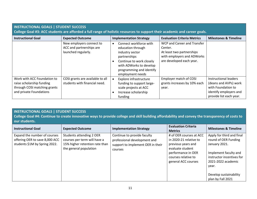| <b>INSTRUCTIONAL GOALS   STUDENT SUCCESS</b><br>College Goal #3: ACC students are afforded a full range of holistic resources to support their academic and career goals. |                                                                             |                                                                                                                                                                                       |                                                                                                                               |                                                                                                                           |
|---------------------------------------------------------------------------------------------------------------------------------------------------------------------------|-----------------------------------------------------------------------------|---------------------------------------------------------------------------------------------------------------------------------------------------------------------------------------|-------------------------------------------------------------------------------------------------------------------------------|---------------------------------------------------------------------------------------------------------------------------|
| <b>Instructional Goal</b>                                                                                                                                                 | <b>Expected Outcome</b>                                                     | <b>Implementation Strategy</b>                                                                                                                                                        | <b>Evaluation Criteria Metrics</b>                                                                                            | <b>Milestones &amp; Timeline</b>                                                                                          |
|                                                                                                                                                                           | New employers connect to<br>ACC and partnerships are<br>launched regularly. | Connect workforce with<br>education through<br>industry sector<br>partnerships<br>Continue to work closely<br>with ADWorks to develop<br>programming and identify<br>employment needs | WCP and Career and Transfer<br>Center.<br>At least two partnerships<br>with employers and ADWorks<br>are developed each year. |                                                                                                                           |
| Work with ACC Foundation to<br>raise scholarship funding<br>through COSI matching grants<br>and private Foundations                                                       | COSI grants are available to all<br>students with financial need.           | Explore infrastructure<br>$\bullet$<br>funding to support large-<br>scale projects at ACC<br>Increase scholarship<br>funding                                                          | Employer match of COSI<br>grants increases by 10% each<br>year.                                                               | Instructional leaders<br>(deans and AVPs) work<br>with Foundation to<br>identify employers and<br>provide list each year. |

|               | <b>INSTRUCTIONAL GOALS   STUDENT SUCCESS</b>                                                                                                    |  |  |  |  |
|---------------|-------------------------------------------------------------------------------------------------------------------------------------------------|--|--|--|--|
|               | College Goal #4: Continue to create innovative ways to provide college and skill building affordability and convey the transparency of costs to |  |  |  |  |
| our students. |                                                                                                                                                 |  |  |  |  |

| <b>Instructional Goal</b>                                                                       | <b>Expected Outcome</b>                                                                                              | <b>Implementation Strategy</b>                                                                              | <b>Evaluation Criteria</b><br><b>Metrics</b>                                                                                                                    | <b>Milestones &amp; Timeline</b>                                                                                                                                                                       |
|-------------------------------------------------------------------------------------------------|----------------------------------------------------------------------------------------------------------------------|-------------------------------------------------------------------------------------------------------------|-----------------------------------------------------------------------------------------------------------------------------------------------------------------|--------------------------------------------------------------------------------------------------------------------------------------------------------------------------------------------------------|
| Expand the number of courses<br>offering OER to save 8,000 ACC<br>students \$1M by Spring 2022. | Students attending 2 OER<br>courses per term will have a<br>15% higher retention rate than<br>the general population | Continue to provide faculty<br>professional development and<br>support to implement OER in their<br>courses | # of OER courses at ACC<br>in 2020-21 relative to<br>previous years and<br>evaluate student<br>performance in OER<br>courses relative to<br>general ACC courses | Apply for third and final<br>round of OER Funding<br>January 2021.<br>Implement faculty and<br>instructor incentives for<br>2021-2022 academic<br>year.<br>Develop sustainability<br>plan by Fall 2021 |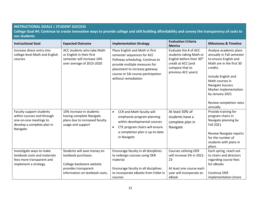#### **INSTRUCTIONAL GOALS | STUDENT SUCCESS**

**College Goal #4: Continue to create innovative ways to provide college and skill building affordability and convey the transparency of costs to our students.** 

| <b>Instructional Goal</b>                                                                                                   | <b>Expected Outcome</b>                                                                                                                   | <b>Implementation Strategy</b>                                                                                                                                                                                                  | <b>Evaluation Criteria</b><br><b>Metrics</b>                                                                                                              | <b>Milestones &amp; Timeline</b>                                                                                                                                                                                                                                              |
|-----------------------------------------------------------------------------------------------------------------------------|-------------------------------------------------------------------------------------------------------------------------------------------|---------------------------------------------------------------------------------------------------------------------------------------------------------------------------------------------------------------------------------|-----------------------------------------------------------------------------------------------------------------------------------------------------------|-------------------------------------------------------------------------------------------------------------------------------------------------------------------------------------------------------------------------------------------------------------------------------|
| Increase direct entry into<br>college-level Math and English<br>courses                                                     | ACC students who take Math<br>or English in their first<br>semester will increase 10%<br>over average of 2015-2020                        | Place English and Math in first<br>semester sequences for ACC<br>Pathway scheduling. Continue to<br>provide multiple measures for<br>placement to increase gateway<br>course or SAI course participation<br>without remediation | Evaluate the # of ACC<br>students taking Math or<br>English before their 30 <sup>th</sup><br>credit at ACC (and<br>compare that to<br>previous ACC years) | Analyze academic plans<br>annually in Fall semester<br>to ensure English and<br>Math are in the first 30<br>credits.<br>Include English and<br>Math courses in<br><b>Navigate Success</b><br>Marker implementation<br>by January 2021<br>Review completion rates<br>annually. |
| Faculty support students<br>within courses and through<br>one-on-one meetings to<br>develop a complete plan in<br>Navigate. | 10% increase in students<br>having complete Navigate<br>plans due to increased faculty<br>usage and support                               | CCR and Math faculty will<br>$\bullet$<br>emphasize program planning<br>within developmental courses<br>CTE program chairs will ensure<br>$\bullet$<br>a completion plan is up-to-date<br>in Navigate                           | At least 50% of<br>students have a<br>complete plan in<br>Navigate                                                                                        | Provide training for<br>program chairs in<br>Navigate planning by<br><b>Fall 2021</b><br><b>Review Navigate reports</b><br>for the number of<br>students with plans in<br>place.                                                                                              |
| Investigate ways to make<br>textbook costs and materials<br>fees more transparent and<br>implement a strategy.              | Students will save money on<br>textbook purchases.<br>College bookstore website<br>provides transparent<br>information on textbook costs. | Encourage faculty in all disciplines<br>to redesign courses using OER<br>material<br>Encourage faculty in all disciplines<br>to incorporate eBooks from Follet in<br>courses                                                    | <b>Courses utilizing OER</b><br>will increase 5% in 2021-<br>23<br>At least one course each<br>year will incorporate an<br>eBook                          | Each spring, reach out<br>to chairs and directors<br>regarding course fees<br>for eBooks<br><b>Continue OER</b><br>implementation (more                                                                                                                                       |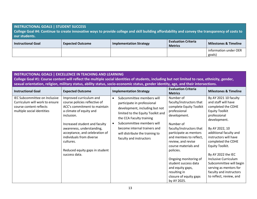| <b>INSTRUCTIONAL GOALS   STUDENT SUCCESS</b><br>College Goal #4: Continue to create innovative ways to provide college and skill building affordability and convey the transparency of costs to<br>our students. |                         |                                |                                              |                                  |
|------------------------------------------------------------------------------------------------------------------------------------------------------------------------------------------------------------------|-------------------------|--------------------------------|----------------------------------------------|----------------------------------|
| <b>Instructional Goal</b>                                                                                                                                                                                        | <b>Expected Outcome</b> | <b>Implementation Strategy</b> | <b>Evaluation Criteria</b><br><b>Metrics</b> | <b>Milestones &amp; Timeline</b> |
|                                                                                                                                                                                                                  |                         |                                |                                              | information under OER<br>goals)  |

# **INSTRUCTIONAL GOALS | EXCELLENCE IN TEACHING AND LEARNING College Goal #1: Course content will reflect the multiple social identities of students, including but not limited to race, ethnicity, gender, sexual orientation, religion, military status, ability status, socio-economic status, gender identity, age, and their intersections.**

| <b>Instructional Goal</b>                                                                                                | <b>Expected Outcome</b>                                                                                                                                                                                                                                                                                                       | <b>Implementation Strategy</b>                                                                                                                                                                                                                                                                                   | <b>Evaluation Criteria</b><br><b>Metrics</b>                                                                                                                                                                                                                                                                                                                                            | <b>Milestones &amp; Timeline</b>                                                                                                                                                                                                                                                                                                                                                                   |
|--------------------------------------------------------------------------------------------------------------------------|-------------------------------------------------------------------------------------------------------------------------------------------------------------------------------------------------------------------------------------------------------------------------------------------------------------------------------|------------------------------------------------------------------------------------------------------------------------------------------------------------------------------------------------------------------------------------------------------------------------------------------------------------------|-----------------------------------------------------------------------------------------------------------------------------------------------------------------------------------------------------------------------------------------------------------------------------------------------------------------------------------------------------------------------------------------|----------------------------------------------------------------------------------------------------------------------------------------------------------------------------------------------------------------------------------------------------------------------------------------------------------------------------------------------------------------------------------------------------|
| IEC Subcommittee on Inclusive<br>Curriculum will work to ensure<br>course content reflects<br>multiple social identities | Improved curriculum and<br>course policies reflective of<br>ACC's commitment to maintain<br>a climate of equity and<br>inclusion.<br>Increased student and faculty<br>awareness, understanding,<br>acceptance, and celebration of<br>individuals from diverse<br>cultures.<br>Reduced equity gaps in student<br>success data. | Subcommittee members will<br>$\bullet$<br>participate in professional<br>development, including but not<br>limited to the Equity Toolkit and<br>the CCA Faculty training<br>Subcommittee members will<br>$\bullet$<br>become internal trainers and<br>will distribute the training to<br>faculty and instructors | Number of<br>faculty/instructors that<br>complete Equity Toolkit<br>professional<br>development.<br>Number of<br>faculty/instructors that<br>participate as mentors<br>and mentees to reflect,<br>review, and revise<br>course materials and<br>policies.<br>Ongoing monitoring of<br>student success data<br>and equity gaps,<br>resulting in<br>closure of equity gaps<br>by AY 2025. | By AY 2021 10 faculty<br>and staff will have<br>completed the CDHE<br><b>Equity Toolkit</b><br>professional<br>development.<br>By AY 2022, 10<br>additional faculty and<br>instructors will have<br>completed the CDHE<br>Equity Toolkit.<br>By AY 2022 the IEC<br>Inclusive Curriculum<br>Subcommittee will begin<br>serving as mentors for<br>faculty and instructors<br>to reflect, review, and |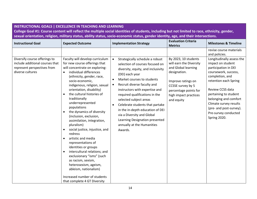# **INSTRUCTIONAL GOALS | EXCELLENCE IN TEACHING AND LEARNING College Goal #1: Course content will reflect the multiple social identities of students, including but not limited to race, ethnicity, gender, sexual orientation, religion, military status, ability status, socio-economic status, gender identity, age, and their intersections.**

| <b>Instructional Goal</b>                                                                                           | <b>Expected Outcome</b>                                                                                                                                                                                                                                                                                                                                                                                                         | <b>Implementation Strategy</b>                                                                                                                                                                                                                                                                                                                                                                                    | <b>Metrics</b>                                                                                                                                                                                                                  | <b>Milestones &amp; Timeline</b>                                                                                                                                                                                                                                                                                                          |
|---------------------------------------------------------------------------------------------------------------------|---------------------------------------------------------------------------------------------------------------------------------------------------------------------------------------------------------------------------------------------------------------------------------------------------------------------------------------------------------------------------------------------------------------------------------|-------------------------------------------------------------------------------------------------------------------------------------------------------------------------------------------------------------------------------------------------------------------------------------------------------------------------------------------------------------------------------------------------------------------|---------------------------------------------------------------------------------------------------------------------------------------------------------------------------------------------------------------------------------|-------------------------------------------------------------------------------------------------------------------------------------------------------------------------------------------------------------------------------------------------------------------------------------------------------------------------------------------|
| Diversify course offerings to<br>include additional courses that<br>represent perspectives from<br>diverse cultures | Faculty will develop curriculum<br>for new course offerings that<br>will concentrate on exploring:<br>individual differences<br>$\bullet$<br>(ethnicity, gender, race,<br>socio-economic,<br>indigenous, religion, sexual<br>orientation, disability)<br>the cultural histories of<br>$\bullet$<br>traditionally<br>underrepresented<br>populations<br>the dynamics of diversity<br>$\bullet$                                   | Strategically schedule a robust<br>$\bullet$<br>selection of courses focused on<br>diversity, equity, and inclusivity<br>(DEI) each year<br>Market courses to students<br>$\bullet$<br>Recruit diverse faculty and<br>$\bullet$<br>instructors with expertise and<br>required qualifications in the<br>selected subject areas<br>Celebrate students that partake<br>$\bullet$<br>in the in-depth education of DEI | <b>Evaluation Criteria</b><br>By 2023, 10 students<br>will earn the Diversity<br>and Global learning<br>designation.<br>Improve ratings on<br>CCSSE survey by 5<br>percentage points for<br>high impact practices<br>and equity | revise course materials<br>and policies.<br>Longitudinally assess the<br>impact on student<br>participation in DEI<br>coursework, success,<br>completion, and<br>retention each Spring<br>Review CCSS data<br>pertaining to student<br>belonging and comfort<br>Climate survey results<br>(pre- and post-survey).<br>Pre-survey conducted |
|                                                                                                                     | (inclusion, exclusion,<br>assimilation, integration,<br>pluralism)<br>social justice, injustice, and<br>$\bullet$<br>redress<br>artistic and media<br>$\bullet$<br>representations of<br>identities or groups<br>intercultural relations; and<br>$\bullet$<br>exclusionary "isms" (such<br>as racism, sexism,<br>heterosexism, ageism,<br>ableism, nationalism)<br>Increased number of students<br>that complete 4 GT Diversity | via a Diversity and Global<br>Learning Designation presented<br>annually at the Humanities<br>Awards.                                                                                                                                                                                                                                                                                                             |                                                                                                                                                                                                                                 | Spring 2020.                                                                                                                                                                                                                                                                                                                              |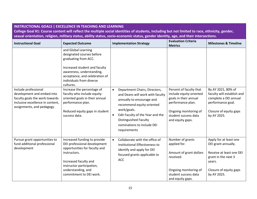| <b>INSTRUCTIONAL GOALS   EXCELLENCE IN TEACHING AND LEARNING</b><br>College Goal #1: Course content will reflect the multiple social identities of students, including but not limited to race, ethnicity, gender,<br>sexual orientation, religion, military status, ability status, socio-economic status, gender identity, age, and their intersections. |                                                                                                                                                                                                                      |                                                                                                                                                                                                                                                                                        |                                                                                                                                                                       |                                                                                                                                                     |
|------------------------------------------------------------------------------------------------------------------------------------------------------------------------------------------------------------------------------------------------------------------------------------------------------------------------------------------------------------|----------------------------------------------------------------------------------------------------------------------------------------------------------------------------------------------------------------------|----------------------------------------------------------------------------------------------------------------------------------------------------------------------------------------------------------------------------------------------------------------------------------------|-----------------------------------------------------------------------------------------------------------------------------------------------------------------------|-----------------------------------------------------------------------------------------------------------------------------------------------------|
| <b>Instructional Goal</b>                                                                                                                                                                                                                                                                                                                                  | <b>Expected Outcome</b>                                                                                                                                                                                              | <b>Implementation Strategy</b>                                                                                                                                                                                                                                                         | <b>Evaluation Criteria</b><br><b>Metrics</b>                                                                                                                          | <b>Milestones &amp; Timeline</b>                                                                                                                    |
|                                                                                                                                                                                                                                                                                                                                                            | and Global Learning<br>designated courses before<br>graduating from ACC.<br>Increased student and faculty<br>awareness, understanding,<br>acceptance, and celebration of<br>individuals from diverse<br>cultures.    |                                                                                                                                                                                                                                                                                        |                                                                                                                                                                       |                                                                                                                                                     |
| Include professional<br>development and embed into<br>faculty goals the work towards<br>inclusive excellence in content,<br>assignments, and pedagogy                                                                                                                                                                                                      | Increase the percentage of<br>faculty who include equity-<br>oriented goals in their annual<br>performance plan.<br>Reduced equity gaps in student<br>success data.                                                  | Department Chairs, Directors,<br>$\bullet$<br>and Deans will work with faculty<br>annually to encourage and<br>recommend equity-oriented<br>work/goals.<br>Edit Faculty of the Year and the<br>$\bullet$<br><b>Distinguished Faculty</b><br>nominations to include DEI<br>requirements | Percent of faculty that<br>include equity-oriented<br>goals in their annual<br>performance plan.<br>Ongoing monitoring of<br>student success data<br>and equity gaps. | By AY 2021, 80% of<br>faculty will establish and<br>complete a DEI annual<br>performance goal.<br>Closure of equity gaps<br>by AY 2025.             |
| Pursue grant opportunities to<br>fund additional professional<br>development                                                                                                                                                                                                                                                                               | Increased funding to provide<br>DEI professional development<br>opportunities for faculty and<br>instructors.<br>Increased faculty and<br>instructor participation,<br>understanding, and<br>commitment to DEI work. | Collaborate with the office of<br>$\bullet$<br>Institutional Effectiveness to<br>identify and apply for DEI<br>focused grants applicable to<br><b>ACC</b>                                                                                                                              | Number of grants<br>applied for.<br>Amount of grant dollars<br>received.<br>Ongoing monitoring of<br>student success data<br>and equity gaps.                         | Apply for at least one<br>DEI grant annually.<br>Receive at least one DEI<br>grant in the next 3<br>years.<br>Closure of equity gaps<br>by AY 2025. |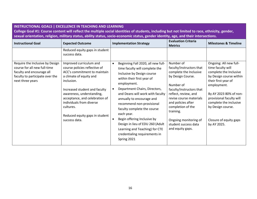| <b>INSTRUCTIONAL GOALS   EXCELLENCE IN TEACHING AND LEARNING</b><br>College Goal #1: Course content will reflect the multiple social identities of students, including but not limited to race, ethnicity, gender,<br>sexual orientation, religion, military status, ability status, socio-economic status, gender identity, age, and their intersections. |                                                                                                                                                                                                                                                                                                                               |                                                                                                                                                                                                                                                                                                                                                                                                                                                                                               |                                                                                                                                                                                                                                                                                                               |                                                                                                                                                                                                                                                                                      |
|------------------------------------------------------------------------------------------------------------------------------------------------------------------------------------------------------------------------------------------------------------------------------------------------------------------------------------------------------------|-------------------------------------------------------------------------------------------------------------------------------------------------------------------------------------------------------------------------------------------------------------------------------------------------------------------------------|-----------------------------------------------------------------------------------------------------------------------------------------------------------------------------------------------------------------------------------------------------------------------------------------------------------------------------------------------------------------------------------------------------------------------------------------------------------------------------------------------|---------------------------------------------------------------------------------------------------------------------------------------------------------------------------------------------------------------------------------------------------------------------------------------------------------------|--------------------------------------------------------------------------------------------------------------------------------------------------------------------------------------------------------------------------------------------------------------------------------------|
| <b>Instructional Goal</b>                                                                                                                                                                                                                                                                                                                                  | <b>Expected Outcome</b>                                                                                                                                                                                                                                                                                                       | <b>Implementation Strategy</b>                                                                                                                                                                                                                                                                                                                                                                                                                                                                | <b>Evaluation Criteria</b><br><b>Metrics</b>                                                                                                                                                                                                                                                                  | <b>Milestones &amp; Timeline</b>                                                                                                                                                                                                                                                     |
|                                                                                                                                                                                                                                                                                                                                                            | Reduced equity gaps in student<br>success data.                                                                                                                                                                                                                                                                               |                                                                                                                                                                                                                                                                                                                                                                                                                                                                                               |                                                                                                                                                                                                                                                                                                               |                                                                                                                                                                                                                                                                                      |
| Require the Inclusive by Design<br>course for all new full-time<br>faculty and encourage all<br>faculty to participate over the<br>next three years                                                                                                                                                                                                        | Improved curriculum and<br>course policies reflective of<br>ACC's commitment to maintain<br>a climate of equity and<br>inclusion.<br>Increased student and faculty<br>awareness, understanding,<br>acceptance, and celebration of<br>individuals from diverse<br>cultures.<br>Reduced equity gaps in student<br>success data. | Beginning Fall 2020, all new full-<br>$\bullet$<br>time faculty will complete the<br>Inclusive by Design course<br>within their first year of<br>employment.<br>Department Chairs, Directors,<br>and Deans will work with faculty<br>annually to encourage and<br>recommend non-provisional<br>faculty complete the course<br>each year.<br>Begin offering Inclusive by<br>Design in lieu of EDU 260 (Adult<br>Learning and Teaching) for CTE<br>credentialing requirements in<br>Spring 2021 | Number of<br>faculty/instructors that<br>complete the Inclusive<br>by Design Course.<br>Number of<br>faculty/instructors that<br>reflect, review, and<br>revise course materials<br>and policies after<br>completion of the<br>training.<br>Ongoing monitoring of<br>student success data<br>and equity gaps. | Ongoing: All new full-<br>time faculty will<br>complete the Inclusive<br>by Design course within<br>their first year of<br>employment.<br>By AY 2023 80% of non-<br>provisional faculty will<br>complete the inclusive<br>by Design course.<br>Closure of equity gaps<br>by AY 2025. |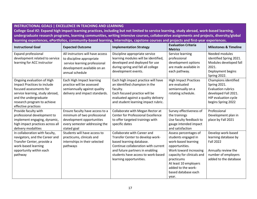#### **INSTRUCTIONAL GOALS | EXCELLENCE IN TEACHING AND LEARNING**

**College Goal #2: Expand high impact learning practices, including but not limited to service learning, study abroad, work-based learning, undergraduate research programs, learning communities, writing intensive courses, collaborative assignments and projects, diversity/global learning experiences, ePortfolios, community-based learning, internships, capstone courses and projects and first-year experiences.** 

| <b>Instructional Goal</b>                                                                                                                                                                                                                       | <b>Expected Outcome</b>                                                                                                                                                                                                                                                      | <b>Implementation Strategy</b>                                                                                                                                                                                                                                                                                                     | <b>Evaluation Criteria</b><br><b>Metrics</b>                                                                                                                                                                                               | <b>Milestones &amp; Timeline</b>                                                                                                                                                                                                       |
|-------------------------------------------------------------------------------------------------------------------------------------------------------------------------------------------------------------------------------------------------|------------------------------------------------------------------------------------------------------------------------------------------------------------------------------------------------------------------------------------------------------------------------------|------------------------------------------------------------------------------------------------------------------------------------------------------------------------------------------------------------------------------------------------------------------------------------------------------------------------------------|--------------------------------------------------------------------------------------------------------------------------------------------------------------------------------------------------------------------------------------------|----------------------------------------------------------------------------------------------------------------------------------------------------------------------------------------------------------------------------------------|
| <b>Expand professional</b><br>development related to service<br>learning for ACC instructor<br>Ongoing evaluation of High<br>Impact Practices to include<br>focused assessments for<br>service learning, study abroad,<br>and the undergraduate | All instructors will have access<br>to discipline appropriate<br>service learning professional<br>development available on an<br>annual schedule<br>Each High Impact learning<br>practice will be assessed<br>semiannually against quality<br>delivery and impact standards. | Discipline appropriate service<br>learning modules will be identified,<br>developed and deployed for use<br>during spring and fall all college<br>development events.<br>Each high impact practice will have<br>an identified champion in the<br>faculty.<br>Each focused practice will be<br>evaluated against a quality delivery | Service learning<br>professional<br>development options<br>are made available in<br>each pathway.<br><b>High Impact Practices</b><br>are evaluated<br>semiannually on a<br>rotating schedule.                                              | Needed modules<br>identified Spring 2021.<br>Modules developed fall<br>2021.<br>Deployment begins<br>Spring 2022.<br>Champions identified<br>Spring 2021.<br><b>Evaluation rubrics</b><br>developed Fall 2021.<br>HIP evaluation cycle |
| research program to achieve<br>effective practices<br>Provide faculty with<br>professional development to<br>implement engaging, dynamic,<br>high impact practices across all<br>delivery modalities                                            | Ensure faculty have access to a<br>minimum of two professional<br>development opportunities<br>every semester addressing the<br>stated goal                                                                                                                                  | and student learning impact rubric.<br>Collaborate with Megan Rector at<br><b>Center for Professional Excellence</b><br>to offer targeted trainings with<br>specific dates                                                                                                                                                         | Survey effectiveness of<br>the trainings<br>Use faculty feedback to<br>gauge intended impact<br>and satisfaction                                                                                                                           | begins Spring 2022<br>Professional<br>Development plan in<br>place by Fall 2021                                                                                                                                                        |
| In collaboration with faculty,<br>navigators, and the Career and<br>Transfer Center, provide a<br>work-based learning<br>opportunity within each<br>pathway                                                                                     | Students will have access to<br>practicums, clinicals and<br>internships in their selected<br>pathways                                                                                                                                                                       | Collaborate with Career and<br>Transfer Center to develop work-<br>based learning database.<br>Continue collaboration with current<br>and future partners in enabling<br>students have access to work-based<br>learning opportunities.                                                                                             | Assess percentages of<br>students engaged in<br>work-based learning<br>opportunities.<br>Work toward increasing<br>capacity for clinicals and<br>practicums<br>At least 10 employers<br>added to the work-<br>based database each<br>year. | Develop work-based<br>learning database by<br><b>Fall 2022</b><br>Annually review the<br>number of employers<br>added to the database                                                                                                  |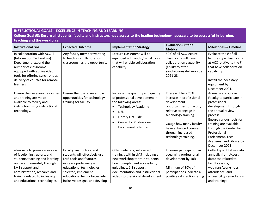| <b>INSTRUCTIONAL GOALS   EXCELLENCE IN TEACHING AND LEARNING</b><br>College Goal #3: Ensure all students, faculty and instructors have access to the leading technology necessary to be successful in learning,<br>teaching and the workforce.       |                                                                                                                                                                                                                                          |                                                                                                                                                                                                                                                                   |                                                                                                                                                                                                                                              |                                                                                                                                                                                                                                                                                        |
|------------------------------------------------------------------------------------------------------------------------------------------------------------------------------------------------------------------------------------------------------|------------------------------------------------------------------------------------------------------------------------------------------------------------------------------------------------------------------------------------------|-------------------------------------------------------------------------------------------------------------------------------------------------------------------------------------------------------------------------------------------------------------------|----------------------------------------------------------------------------------------------------------------------------------------------------------------------------------------------------------------------------------------------|----------------------------------------------------------------------------------------------------------------------------------------------------------------------------------------------------------------------------------------------------------------------------------------|
| <b>Instructional Goal</b>                                                                                                                                                                                                                            | <b>Expected Outcome</b>                                                                                                                                                                                                                  | <b>Implementation Strategy</b>                                                                                                                                                                                                                                    | <b>Evaluation Criteria</b><br><b>Metrics</b>                                                                                                                                                                                                 | <b>Milestones &amp; Timeline</b>                                                                                                                                                                                                                                                       |
| In collaboration with ACC IT<br>(Information Technology)<br>Department, expand the<br>number of classrooms<br>equipped with audio/video<br>tools for offering synchronous<br>delivery of courses for remote<br>learners                              | Any faculty member wanting<br>to teach in a collaboration<br>classroom has the opportunity.                                                                                                                                              | Lecture classrooms will be<br>equipped with audio/visual tools<br>that will enable collaboration<br>capability                                                                                                                                                    | 50% of all ACC lecture<br>classrooms will have<br>collaboration capability<br>(ability to offer<br>synchronous delivery) by<br>2021-23                                                                                                       | Evaluate the # of all<br>lecture style classrooms<br>at ACC relative to the #<br>that have collaboration<br>capability<br>Install the necessary<br>equipment by<br>December 2021.                                                                                                      |
| Ensure the necessary resources<br>and training are made<br>available to faculty and<br>instructors using instructional<br>technology.                                                                                                                | Ensure that there are ample<br>opportunities for technology<br>training for faculty.                                                                                                                                                     | Increase the quantity and quality<br>of professional development in<br>the following areas:<br><b>Technology Academy</b><br>D <sub>2</sub> L<br>$\bullet$<br>Library LibGuide<br>$\bullet$<br><b>Center for Professional</b><br>$\bullet$<br>Enrichment offerings | There will be a 25%<br>increase in professional<br>development<br>opportunities for faculty<br>relative to engage in<br>technology training.<br>Gauge how many faculty<br>have enhanced courses<br>through increased<br>technology training. | Annually encourage<br>Faculty to participate in<br>professional<br>development through<br>the annual review<br>process<br>Ensure various tools for<br>training are available<br>through the Center for<br>Professional<br>Enrichment, Tech<br>Academy, and Library by<br>December 2021 |
| eLearning to promote success<br>of faculty, instructors, and<br>students teaching and learning<br>online and remotely through<br>LMS support and<br>administration, research and<br>training related to inclusivity<br>and educational technologies, | Faculty, instructors, and<br>students will effectively use<br>LMS tools and features,<br>increase proficiency with<br>educational technologies<br>selected, implement<br>educational technologies into<br>inclusive designs, and develop | Offer webinars, self-paced<br>trainings within LMS including a<br>new workshop to train students<br>how to implement accessibility<br>guidelines, 1:1 support,<br>documentation and instructional<br>videos, professional development                             | Increase participation in<br>eLearning professional<br>development by 10%.<br>Minimum of 80% of<br>participations indicate a<br>positive satisfaction rating                                                                                 | Collect quantitative data<br>annually from Access<br>database related to<br>faculty assists,<br>webinars/workshops<br>attendance, and<br>accessibility remediation<br>and training;                                                                                                    |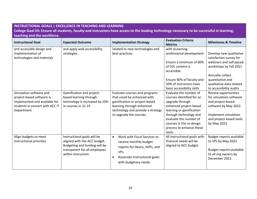# **INSTRUCTIONAL GOALS | EXCELLENCE IN TEACHING AND LEARNING College Goal #3: Ensure all students, faculty and instructors have access to the leading technology necessary to be successful in learning, teaching and the workforce.**

| <b>Instructional Goal</b>                                                                                                              | <b>Expected Outcome</b>                                                                                                                             | <b>Implementation Strategy</b>                                                                                                                                                             | <b>Evaluation Criteria</b><br><b>Metrics</b>                                                                                                                                                                                                       | <b>Milestones &amp; Timeline</b>                                                                                                                                                                       |
|----------------------------------------------------------------------------------------------------------------------------------------|-----------------------------------------------------------------------------------------------------------------------------------------------------|--------------------------------------------------------------------------------------------------------------------------------------------------------------------------------------------|----------------------------------------------------------------------------------------------------------------------------------------------------------------------------------------------------------------------------------------------------|--------------------------------------------------------------------------------------------------------------------------------------------------------------------------------------------------------|
| and accessible design and<br>implementation of<br>technologies and materials                                                           | and apply web accessibility<br>strategies.                                                                                                          | related to new technologies and<br>best practices.                                                                                                                                         | with eLearning<br>professional development<br>Ensure a minimum of 80%<br>of D2L content is<br>accessible.<br>Ensure 90% of faculty and<br>50% of instructors have<br>basic accessibility skills                                                    | Develop new qualitative<br>satisfaction survey for<br>webinars and self-paced<br>workshops by Fall 2021<br>Annually collect<br>quantitative and<br>qualitative data related<br>to accessibility audits |
| Simulation software and<br>project-based software is<br>implemented and available for<br>students in concert with ACC IT<br>Department | Gamification and project-<br>based learning through<br>technology is increased by 10%<br>in courses in 21-23                                        | Evaluate courses and programs<br>that could be enhanced with<br>gamification or project-based<br>learning through enhanced<br>technology and provide a strategy<br>to upgrade the courses. | Evaluate the number of<br>courses identified for an<br>upgrade through<br>enhanced project-based<br>learning or gamification<br>through technology and<br>evaluate the number of<br>courses in the re-design<br>process to enhance these<br>tools. | Review opportunities<br>for simulation software<br>and project-based<br>software by May 2022.<br>Implement simulation<br>and project-based tools<br>by May 2023.                                       |
| Align budgets to meet<br>instructional priorities                                                                                      | Instructional goals will be<br>aligned with the ACC budget.<br>Budgeting and funding will be<br>transparent for all employees<br>within Instruction | Work with Fiscal Services to<br>$\bullet$<br>receive monthly budget<br>reports for Deans, AVPs, and<br>VPs.<br>Associate Instructional goals<br>$\bullet$<br>with budgetary needs.         | All instructional goals with<br>financial needs will be<br>aligned to ACC budget.                                                                                                                                                                  | Budget reports available<br>to VPs by May 2022.<br>Budget reports available<br>to all org owners by<br>December 2022.                                                                                  |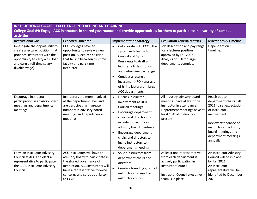| <b>INSTRUCTIONAL GOALS   EXCELLENCE IN TEACHING AND LEARNING</b>                                                                                                                         |                                                                                                                                                                                                                    |                                                                                                                                                                                                                                                                                                                |                                                                                                                                                                             |                                                                                                                                                                                                                 |  |  |
|------------------------------------------------------------------------------------------------------------------------------------------------------------------------------------------|--------------------------------------------------------------------------------------------------------------------------------------------------------------------------------------------------------------------|----------------------------------------------------------------------------------------------------------------------------------------------------------------------------------------------------------------------------------------------------------------------------------------------------------------|-----------------------------------------------------------------------------------------------------------------------------------------------------------------------------|-----------------------------------------------------------------------------------------------------------------------------------------------------------------------------------------------------------------|--|--|
|                                                                                                                                                                                          | College Goal #4: Engage ACC instructors in shared governance and provide opportunities for them to participate in a variety of campus                                                                              |                                                                                                                                                                                                                                                                                                                |                                                                                                                                                                             |                                                                                                                                                                                                                 |  |  |
| activities.                                                                                                                                                                              |                                                                                                                                                                                                                    |                                                                                                                                                                                                                                                                                                                |                                                                                                                                                                             |                                                                                                                                                                                                                 |  |  |
| <b>Instructional Goal</b>                                                                                                                                                                | <b>Expected Outcome</b>                                                                                                                                                                                            | <b>Implementation Strategy</b>                                                                                                                                                                                                                                                                                 | <b>Evaluation Criteria Metrics</b>                                                                                                                                          | <b>Milestones &amp; Timeline</b>                                                                                                                                                                                |  |  |
| Investigate the opportunity to<br>create a lecturer position that<br>provides instructors with the<br>opportunity to carry a full load<br>and earn a full-time salary<br>(livable wage). | CCCS colleges have an<br>opportunity to review a new<br>position. A lecturer position<br>that falls in between full-time<br>faculty and part-time<br>instructor.                                                   | Collaborate with CCCS, the<br>$\bullet$<br>systemwide Instructor<br>Council and System<br>Presidents to draft a<br>lecturer job description<br>and determine pay range.<br>Conduct a return on<br>$\bullet$<br>investment (ROI) analysis<br>of hiring lecturers in large<br>ACC departments.                   | Job description and pay range<br>for a lecturer position<br>approved by Fall 2023.<br>Analysis of ROI for large<br>departments complete.                                    | Dependent on CCCS<br>timeline.                                                                                                                                                                                  |  |  |
| Encourage instructor<br>participation in advisory board<br>meetings and departmental<br>meetings                                                                                         | Instructors are more involved<br>at the department level and<br>are participating in greater<br>numbers in advisory board<br>meetings and departmental<br>meetings.                                                | Discuss instructor<br>$\bullet$<br>involvement at DCD<br>Council meetings<br>Encourage department<br>$\bullet$<br>chairs and directors to<br>include instructors in<br>advisory board meetings<br>Encourage department<br>$\bullet$<br>chairs and directors to<br>invite instructors to<br>department meetings | All industry advisory board<br>meetings have at least one<br>instructor in attendance.<br>Department meetings have at<br>least 10% of instructors<br>present.               | Reach out to<br>department chairs Fall<br>2021 to set expectation<br>of instructor<br>involvement.<br>Review attendance of<br>instructors in advisory<br>board meetings and<br>department meetings<br>annually. |  |  |
| Form an Instructor Advisory<br>Council at ACC and elect a<br>representative to participate in<br>the CCCS Instructor Advisory<br>Council                                                 | ACC Instructors will have an<br>advisory board to participate in<br>the shared governance of<br>Instruction. ACC instructors will<br>have a representative to voice<br>concerns and serve as a liaison<br>to CCCS. | Solicit instructors from<br>$\bullet$<br>department chairs and<br>directors<br>Create a founding group of<br>$\bullet$<br>instructors to launch an<br>instructor council                                                                                                                                       | At least one representative<br>from each department is<br>actively participating in<br><b>Instructor Council</b><br><b>Instructor Council executive</b><br>team is in place | An Instructor Advisory<br>Council will be in place<br>by Fall 2021.<br>An instructor<br>representative will be<br>identified by December<br>2020.                                                               |  |  |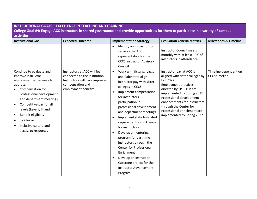#### **INSTRUCTIONAL GOALS | EXCELLENCE IN TEACHING AND LEARNING**

**College Goal #4: Engage ACC instructors in shared governance and provide opportunities for them to participate in a variety of campus activities.** 

| <b>Instructional Goal</b>                                                                                                                                                                                                                                                                                                     | <b>Expected Outcome</b>                                                                                     | <b>Implementation Strategy</b>                                                                                                                                                                                                                                                                                                                                                                                                                                                                                                                                 | <b>Evaluation Criteria Metrics</b>                                                                                                                                                                                                                                                          | <b>Milestones &amp; Timeline</b> |
|-------------------------------------------------------------------------------------------------------------------------------------------------------------------------------------------------------------------------------------------------------------------------------------------------------------------------------|-------------------------------------------------------------------------------------------------------------|----------------------------------------------------------------------------------------------------------------------------------------------------------------------------------------------------------------------------------------------------------------------------------------------------------------------------------------------------------------------------------------------------------------------------------------------------------------------------------------------------------------------------------------------------------------|---------------------------------------------------------------------------------------------------------------------------------------------------------------------------------------------------------------------------------------------------------------------------------------------|----------------------------------|
| Continue to evaluate and                                                                                                                                                                                                                                                                                                      | Instructors at ACC will feel                                                                                | Identify an instructor to<br>$\bullet$<br>serve as the ACC<br>representative for the<br><b>CCCS Instructor Advisory</b><br>Council<br>Work with fiscal services<br>$\bullet$                                                                                                                                                                                                                                                                                                                                                                                   | <b>Instructor Council meets</b><br>monthly with at least 10% of<br>instructors in attendance.<br>Instructor pay at ACC is                                                                                                                                                                   | Timeline dependent on            |
| improve instructor<br>employment experience to<br>address:<br>Compensation for<br>professional development<br>and department meetings<br>Competitive pay for all<br>$\bullet$<br>levels (Level I, II, and III)<br>Benefit eligibility<br>$\bullet$<br>Sick leave<br>$\bullet$<br>Inclusive culture and<br>access to resources | connected to the institution.<br>Instructors will have improved<br>compensation and<br>employment benefits. | and Cabinet to align<br>instructor pay with sister<br>colleges in CCCS<br>Implement compensation<br>$\bullet$<br>for instructors'<br>participation in<br>professional development<br>and department meetings<br>Implement state legislated<br>$\bullet$<br>requirement for sick leave<br>for instructors<br>Develop a mentoring<br>$\bullet$<br>program for part time<br>instructors through the<br><b>Center for Professional</b><br>Enrichment<br>Develop an instructor<br>$\bullet$<br>Capstone project for the<br><b>Instructor Advancement</b><br>Program | aligned with sister colleges by<br>Fall 2022.<br><b>Employment practices</b><br>directed by SP 3-10b are<br>implemented by Spring 2021.<br>Professional development<br>enhancements for instructors<br>through the Center for<br>Professional enrichment are<br>implemented by Spring 2022. | CCCS timeline.                   |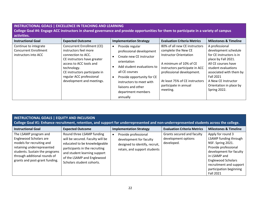# **INSTRUCTIONAL GOALS | EXCELLENCE IN TEACHING AND LEARNING College Goal #4: Engage ACC instructors in shared governance and provide opportunities for them to participate in a variety of campus activities.**

| <b>Instructional Goal</b>                                                     | <b>Expected Outcome</b>                                                                                                                                                                                                                             | <b>Implementation Strategy</b>                                                                                                                                                                                                                                                                       | <b>Evaluation Criteria Metrics</b>                                                                                                                                                                                                                    | <b>Milestones &amp; Timeline</b>                                                                                                                                                                                                                         |
|-------------------------------------------------------------------------------|-----------------------------------------------------------------------------------------------------------------------------------------------------------------------------------------------------------------------------------------------------|------------------------------------------------------------------------------------------------------------------------------------------------------------------------------------------------------------------------------------------------------------------------------------------------------|-------------------------------------------------------------------------------------------------------------------------------------------------------------------------------------------------------------------------------------------------------|----------------------------------------------------------------------------------------------------------------------------------------------------------------------------------------------------------------------------------------------------------|
| Continue to integrate<br><b>Concurrent Enrollment</b><br>instructors into ACC | <b>Concurrent Enrollment (CE)</b><br>instructors feel more<br>connection to ACC.<br>CE instructors have greater<br>access to ACC tools and<br>technology.<br>CE instructors participate in<br>regular ACC professional<br>development and meetings. | Provide regular<br>$\bullet$<br>professional development<br>Create new CE instructor<br>$\bullet$<br>orientation<br>Add student evaluations to<br>∙<br>all CE courses<br>Provide opportunity for CE<br>$\bullet$<br>instructors to meet with<br>liaisons and other<br>department members<br>annually | 80% of all new CE instructors<br>complete the New CE<br><b>Instructor Orientation</b><br>A minimum of 10% of CE<br>instructors participate in ACC<br>professional development.<br>At least 75% of CE instructors<br>participate in annual<br>meeting. | A professional<br>development schedule<br>for CE instructors is in<br>place by Fall 2021.<br>All CE courses have<br>student evaluations<br>associated with them by<br><b>Fall 2021</b><br>A New CE Instructor<br>Orientation in place by<br>Spring 2022. |

## **INSTRUCTIONAL GOALS | EQUITY AND INCLUSION**

**College Goal #1: Enhance recruitment, retention, and support for underrepresented and non-underrepresented students across the college.** 

| <b>Instructional Goal</b>                                                                                                                                                                                      | <b>Expected Outcome</b>                                                                                                                                                                                                    | <b>Implementation Strategy</b>                                                                                    | <b>Evaluation Criteria Metrics</b>                              | <b>Milestones &amp; Timeline</b>                                                                                                                                                                                                   |
|----------------------------------------------------------------------------------------------------------------------------------------------------------------------------------------------------------------|----------------------------------------------------------------------------------------------------------------------------------------------------------------------------------------------------------------------------|-------------------------------------------------------------------------------------------------------------------|-----------------------------------------------------------------|------------------------------------------------------------------------------------------------------------------------------------------------------------------------------------------------------------------------------------|
| The LSAMP program and<br>Englewood Scholars are<br>models for recruiting and<br>retaining underrepresented<br>students. Sustain the programs<br>through additional rounds of<br>grants and post-grant funding. | Round three LSAMP funding<br>will be secured. Faculty will be<br>educated to be knowledgeable<br>participants in the recruiting<br>and student learning support<br>of the LSAMP and Englewood<br>Scholars student cohorts. | Provide professional<br>development for faculty<br>designed to identify, recruit,<br>retain, and support students | Grants secured and faculty<br>development options<br>developed. | Apply for round 3<br>LSAMP funding through<br>NSF. Spring 2021.<br>Provide professional<br>development for faculty<br>in LSAMP and<br><b>Englewood Scholars</b><br>recruitment and support<br>participation beginning<br>Fall 2021 |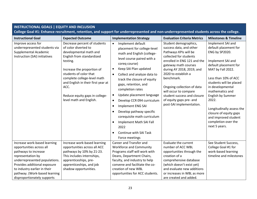| <b>INSTRUCTIONAL GOALS   EQUITY AND INCLUSION</b><br>College Goal #1: Enhance recruitment, retention, and support for underrepresented and non-underrepresented students across the college. |                                                                                                                                                                                                                                                                                                                           |                                                                                                                                                                                                                                                                                                                                                                                                                                                                                                                                                                                                                 |                                                                                                                                                                                                                                                                                                                                                                           |                                                                                                                                                                                                                                                                                                                                                                                |
|----------------------------------------------------------------------------------------------------------------------------------------------------------------------------------------------|---------------------------------------------------------------------------------------------------------------------------------------------------------------------------------------------------------------------------------------------------------------------------------------------------------------------------|-----------------------------------------------------------------------------------------------------------------------------------------------------------------------------------------------------------------------------------------------------------------------------------------------------------------------------------------------------------------------------------------------------------------------------------------------------------------------------------------------------------------------------------------------------------------------------------------------------------------|---------------------------------------------------------------------------------------------------------------------------------------------------------------------------------------------------------------------------------------------------------------------------------------------------------------------------------------------------------------------------|--------------------------------------------------------------------------------------------------------------------------------------------------------------------------------------------------------------------------------------------------------------------------------------------------------------------------------------------------------------------------------|
| <b>Instructional Goal</b>                                                                                                                                                                    | <b>Expected Outcome</b>                                                                                                                                                                                                                                                                                                   | <b>Implementation Strategy</b>                                                                                                                                                                                                                                                                                                                                                                                                                                                                                                                                                                                  | <b>Evaluation Criteria Metrics</b>                                                                                                                                                                                                                                                                                                                                        | <b>Milestones &amp; Timeline</b>                                                                                                                                                                                                                                                                                                                                               |
| Improve access for<br>underrepresented students via<br>Supplemental Academic<br>Instruction (SAI) initiatives                                                                                | Decrease percent of students<br>of color diverted to<br>developmental math and<br>English from standardized<br>testing.<br>Increase the proportion of<br>students of color that<br>complete college-level math<br>and English in their first year at<br>ACC.<br>Reduce equity gaps in college-<br>level math and English. | Implement default<br>$\bullet$<br>placement for college-level<br>math and English (college-<br>level course paired with a<br>coreg course)<br>Keep SAI Plan updated<br>$\bullet$<br>Collect and analyze data to<br>$\bullet$<br>track the closure of equity<br>gaps, retention, and<br>completion rates<br>Update placement language<br>$\bullet$<br>Develop CCR 094 curriculum<br>$\bullet$<br>Implement ENG SAI<br>$\bullet$<br>Develop pathway specific<br>$\bullet$<br>corequisite math curriculum<br>Implement Math SAI Fall<br>$\bullet$<br>2022<br>Continue with SAI Task<br>$\bullet$<br>Force meetings | Student demographics,<br>success data, and other<br>Pathways KPIs will be<br>collected for students<br>enrolled in ENG 121 and the<br>gateway math courses<br>during AY 2018, 2019, and<br>2020 to establish a<br>benchmark.<br>Ongoing collection of data<br>will occur to compare<br>student success and closure<br>of equity gaps pre- and<br>post-SAI implementation. | Implement SAI and<br>default placement for<br>ENG by SP2020.<br>Implement SAI and<br>default placement for<br>MAT by Fall 2022.<br>Less than 10% of ACC<br>students will be placed<br>in developmental<br>mathematics and<br>English by Summer<br>2022.<br>Longitudinally assess the<br>closure of equity gaps<br>and improved student<br>completion over the<br>next 5 years. |
| Increase work-based learning<br>opportunities across all<br>pathways to increase                                                                                                             | Increase work-based learning<br>opportunities across all ACC<br>pathways by 10% by 21-23.                                                                                                                                                                                                                                 | Career and Transfer and<br><b>Workforce and Community</b><br>Programs staff will work with                                                                                                                                                                                                                                                                                                                                                                                                                                                                                                                      | Evaluate the current<br>number of ACC WBL<br>opportunities through the                                                                                                                                                                                                                                                                                                    | See Student Success,<br>College Goal #1 for<br>work-based learning                                                                                                                                                                                                                                                                                                             |
| representation by<br>underrepresented populations.<br>Provides additional exposure<br>to industry earlier in their<br>pathway. (Work-based learning<br>disproportionately supports           | This includes internships,<br>apprenticeships, pre-<br>apprenticeships, and job<br>shadow opportunities.                                                                                                                                                                                                                  | Deans, Department Chairs,<br>faculty, and industry to help<br>convene and facilitate the co-<br>creation of new WBL<br>opportunities for ACC students.                                                                                                                                                                                                                                                                                                                                                                                                                                                          | creation of a<br>comprehensive database<br>(which doesn't exist yet)<br>and evaluate new additions<br>or increases in WBL as more<br>are created and added.                                                                                                                                                                                                               | timeline and milestones                                                                                                                                                                                                                                                                                                                                                        |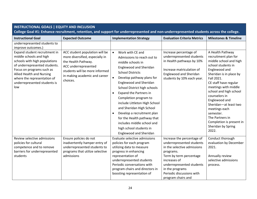| <b>INSTRUCTIONAL GOALS   EQUITY AND INCLUSION</b><br>College Goal #1: Enhance recruitment, retention, and support for underrepresented and non-underrepresented students across the college.   |                                                                                                                                          |                                                                                                                                                                                                                                                                                                      |                                                                                                                                                                                                                                                   |                                                                                                                                                                                               |  |
|------------------------------------------------------------------------------------------------------------------------------------------------------------------------------------------------|------------------------------------------------------------------------------------------------------------------------------------------|------------------------------------------------------------------------------------------------------------------------------------------------------------------------------------------------------------------------------------------------------------------------------------------------------|---------------------------------------------------------------------------------------------------------------------------------------------------------------------------------------------------------------------------------------------------|-----------------------------------------------------------------------------------------------------------------------------------------------------------------------------------------------|--|
| <b>Instructional Goal</b>                                                                                                                                                                      | <b>Expected Outcome</b>                                                                                                                  | <b>Implementation Strategy</b>                                                                                                                                                                                                                                                                       | <b>Evaluation Criteria Metrics</b>                                                                                                                                                                                                                | <b>Milestones &amp; Timeline</b>                                                                                                                                                              |  |
| underrepresented students to<br>improve outcomes.)<br>Expand student recruitment in<br>middle schools and high                                                                                 | ACC student population will be<br>more diversified, especially in                                                                        | Work with CE and<br>$\bullet$<br>Admissions to reach out to                                                                                                                                                                                                                                          | Increase percentage of<br>underrepresented students                                                                                                                                                                                               | A Health Pathway<br>recruitment plan for                                                                                                                                                      |  |
| schools with high populations<br>of underrepresented students.<br>Focus on programs such as<br>Allied Health and Nursing<br>where the representation of<br>underrepresented students is<br>low | the Health Pathway.<br>ACC underrepresented<br>students will be more informed<br>in making academic and career<br>choices.               | middle schools in<br>Englewood and Sheridan<br><b>School Districts</b><br>$\bullet$<br>Develop pathway plans for<br>Englewood and Sheridan<br>School District high schools                                                                                                                           | in Health pathways by 10%<br>Increase matriculation of<br>Englewood and Sheridan<br>students by 10% each year.                                                                                                                                    | middle school and high<br>school students in<br>Englewood and<br>Sheridan is in place by<br>Fall 2021.<br>CE staff have regular<br>meetings with middle                                       |  |
|                                                                                                                                                                                                |                                                                                                                                          | <b>Expand the Partners in</b><br>$\bullet$<br>Completion program to<br>include Littleton High School<br>and Sheridan High School<br>Develop a recruitment plan<br>$\bullet$<br>for the Health pathway that<br>includes middle school and<br>high school students in<br><b>Englewood and Sheridan</b> |                                                                                                                                                                                                                                                   | school and high school<br>counselors in<br>Englewood and<br>Sheridan-at least two<br>meetings each<br>semester.<br>The Partners in<br>Completion is present in<br>Sheridan by Spring<br>2022. |  |
| Review selective admissions<br>policies for cultural<br>competence and to remove<br>barriers for underrepresented<br>students                                                                  | Ensure policies do not<br>inadvertently hamper entry of<br>underrepresented students to<br>programs that utilize selective<br>admissions | Evaluate selective admissions<br>policies for each program<br>utilizing data to measure<br>progress in enhancing<br>representation of<br>underrepresented students<br>Periodic conversations with<br>program chairs and directors in<br>boosting representation of                                   | Increase the percentage of<br>underrepresented students<br>in the selective admissions<br>programs.<br>Term by term percentage<br>increases of<br>underrepresented students<br>in the programs<br>Periodic discussions with<br>program chairs and | Conduct thorough<br>evaluation by December<br>2021.<br>Annually review<br>selective admissions<br>process.                                                                                    |  |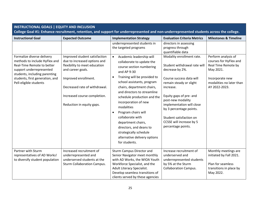| <b>INSTRUCTIONAL GOALS   EQUITY AND INCLUSION</b><br>College Goal #1: Enhance recruitment, retention, and support for underrepresented and non-underrepresented students across the college.                        |                                                                                                                                                                                                                                           |                                                                                                                                                                                                                                                                                                                                                                                                                                                                                                                |                                                                                                                                                                                                                                                                                                                                       |                                                                                                                                                   |
|---------------------------------------------------------------------------------------------------------------------------------------------------------------------------------------------------------------------|-------------------------------------------------------------------------------------------------------------------------------------------------------------------------------------------------------------------------------------------|----------------------------------------------------------------------------------------------------------------------------------------------------------------------------------------------------------------------------------------------------------------------------------------------------------------------------------------------------------------------------------------------------------------------------------------------------------------------------------------------------------------|---------------------------------------------------------------------------------------------------------------------------------------------------------------------------------------------------------------------------------------------------------------------------------------------------------------------------------------|---------------------------------------------------------------------------------------------------------------------------------------------------|
| <b>Instructional Goal</b>                                                                                                                                                                                           | <b>Expected Outcome</b>                                                                                                                                                                                                                   | <b>Implementation Strategy</b>                                                                                                                                                                                                                                                                                                                                                                                                                                                                                 | <b>Evaluation Criteria Metrics</b>                                                                                                                                                                                                                                                                                                    | <b>Milestones &amp; Timeline</b>                                                                                                                  |
|                                                                                                                                                                                                                     |                                                                                                                                                                                                                                           | underrepresented students in<br>the targeted programs                                                                                                                                                                                                                                                                                                                                                                                                                                                          | directors in assessing<br>progress through<br>quantifiable data                                                                                                                                                                                                                                                                       |                                                                                                                                                   |
| Formalize diverse delivery<br>methods to include HyFlex and<br>Real-Time Remote to better<br>support underrepresented<br>students, including parenting<br>students, first generation, and<br>Pell-eligible students | Improved student satisfaction<br>due to increased options and<br>flexibility to meet education<br>and career goals.<br>Improved enrollment.<br>Decreased rate of withdrawal.<br>Increased course completion.<br>Reduction in equity gaps. | Academic leadership will<br>$\bullet$<br>collaborate to update the<br>course section numbering<br>and AP 9-30<br>Training will be provided to<br>$\bullet$<br>school assistants, program<br>chairs, department chairs,<br>and directors to streamline<br>schedule production and the<br>incorporation of new<br>modalities<br>Program chairs will<br>$\bullet$<br>collaborate with<br>department chairs,<br>directors, and deans to<br>strategically schedule<br>alternative delivery options<br>for students. | Modality enrollment rate.<br>Student withdrawal rate will<br>decrease by 2%.<br>Course success data will<br>remain steady or slight<br>increase.<br>Equity gaps of pre- and<br>post-new modality<br>implementation will close<br>by 3 percentage points.<br>Student satisfaction on<br>CCSSE will increase by 5<br>percentage points. | Perform analysis of<br>courses for HyFlex and<br>Real Time Remote by<br>May 2021.<br>Incorporate new<br>modalities no later than<br>AY 2022-2023. |
| Partner with Sturm<br>representatives of AD Works!<br>to diversify student population                                                                                                                               | Increased recruitment of<br>underrepresented and<br>underserved students at the<br><b>Sturm Collaboration Campus.</b>                                                                                                                     | <b>Sturm Campus Director and</b><br>Senior Navigator meet monthly<br>with AD Works, the WIOA Youth<br>Workforce Specialist, and the<br>Adult Literacy Specialist.<br>Develop seamless transitions of<br>clients served by these agencies                                                                                                                                                                                                                                                                       | Increase recruitment of<br>underserved and<br>underrepresented students<br>by 5% at the Sturm<br><b>Collaboration Campus.</b>                                                                                                                                                                                                         | Monthly meetings are<br>initiated by Fall 2021.<br>Plan for seamless<br>transitions in place by<br>May 2022.                                      |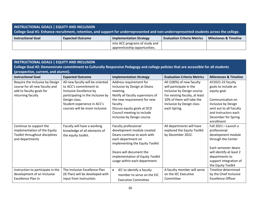| <b>INSTRUCTIONAL GOALS   EQUITY AND INCLUSION</b><br>College Goal #1: Enhance recruitment, retention, and support for underrepresented and non-underrepresented students across the college. |                         |                                |                                    |                                  |
|----------------------------------------------------------------------------------------------------------------------------------------------------------------------------------------------|-------------------------|--------------------------------|------------------------------------|----------------------------------|
| <b>Instructional Goal</b>                                                                                                                                                                    | <b>Expected Outcome</b> | <b>Implementation Strategy</b> | <b>Evaluation Criteria Metrics</b> | <b>Milestones &amp; Timeline</b> |
|                                                                                                                                                                                              |                         | into ACC programs of study and |                                    |                                  |
|                                                                                                                                                                                              |                         | apprenticeship opportunities.  |                                    |                                  |

| <b>INSTRUCTIONAL GOALS   EQUITY AND INCLUSION</b>                                                                                   |                                                                                                                                                                                                               |                                                                                                                                                                                                                                                 |                                                                                                                                                                                                 |                                                                                                                                                                                                     |
|-------------------------------------------------------------------------------------------------------------------------------------|---------------------------------------------------------------------------------------------------------------------------------------------------------------------------------------------------------------|-------------------------------------------------------------------------------------------------------------------------------------------------------------------------------------------------------------------------------------------------|-------------------------------------------------------------------------------------------------------------------------------------------------------------------------------------------------|-----------------------------------------------------------------------------------------------------------------------------------------------------------------------------------------------------|
| College Goal #2: Demonstrate commitment to Culturally Responsive Pedagogy and college policies that are accessible for all students |                                                                                                                                                                                                               |                                                                                                                                                                                                                                                 |                                                                                                                                                                                                 |                                                                                                                                                                                                     |
| (prospective, current, and alumni).<br><b>Instructional Goal</b>                                                                    | <b>Expected Outcome</b>                                                                                                                                                                                       | <b>Implementation Strategy</b>                                                                                                                                                                                                                  | <b>Evaluation Criteria Metrics</b>                                                                                                                                                              | <b>Milestones &amp; Timeline</b>                                                                                                                                                                    |
| Require the Inclusive by Design<br>course for all new faculty and<br>add to faculty goals for<br>returning faculty                  | All new faculty will be oriented<br>to ACC's commitment to<br>Inclusive Excellence by<br>participating in the Inclusive by<br>Design class.<br>Student experience in ACC's<br>courses will be more inclusive. | Address requirement for<br>Inclusive by Design at Deans<br>meeting.<br>Notify all faculty supervisors of<br>the new requirement for new<br>faculty.<br>Discuss equity goals at DCD<br>Council meeting to include<br>Inclusive by Design course. | All (100%) of new faculty<br>will participate in the<br>Inclusive by Design course.<br>For existing faculty, at least<br>10% of them will take the<br>Inclusive by Design class<br>each Spring. | AY2021-22 faculty<br>goals to include an<br>equity goal.<br>Communication on<br>Inclusive by Design<br>sent out to all Faculty<br>and Instructors each<br>December for Spring<br>enrollment         |
| Continue to support the<br>implementation of the Equity<br>Toolkit throughout disciplines<br>and departments                        | Faculty will have a working<br>knowledge of all elements of<br>the equity toolkit.                                                                                                                            | Faculty professional<br>development module created<br>Deans continue to work with<br>each department on<br>implementing the Equity Toolkit<br>Deans will document the<br>implementation of Equity Toolkit<br>usage within each department.      | All departments will have<br>explored the Equity Toolkit<br>by December 2022.                                                                                                                   | Fall 2021-Launch a<br>professional<br>development module<br>through the Center<br>Each semester deans<br>will identify at least 2<br>departments to<br>support integration of<br>the Equity Toolkit |
| Instruction to participate in the<br>development of an Inclusive<br><b>Excellence Plan in</b>                                       | The Inclusive Excellence Plan<br>(IE Plan) will be developed with<br>input from Instruction.                                                                                                                  | IEC to identify a faculty<br>$\bullet$<br>member to serve on the EIC<br><b>Executive Committee</b>                                                                                                                                              | A faculty member will serve<br>on the IEC Executive<br>Committee                                                                                                                                | Timeline determined<br>by the Chief Inclusive<br><b>Excellence Officer</b>                                                                                                                          |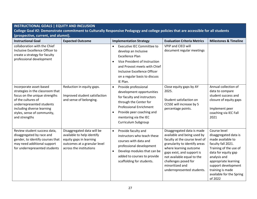| <b>INSTRUCTIONAL GOALS   EQUITY AND INCLUSION</b>                                                                                                                                                                             |                                                                                                                                                |                                                                                                                                                                                                                                                             |                                                                                                                                                                                                                                                                                             |                                                                                                                                                                                                                                                             |
|-------------------------------------------------------------------------------------------------------------------------------------------------------------------------------------------------------------------------------|------------------------------------------------------------------------------------------------------------------------------------------------|-------------------------------------------------------------------------------------------------------------------------------------------------------------------------------------------------------------------------------------------------------------|---------------------------------------------------------------------------------------------------------------------------------------------------------------------------------------------------------------------------------------------------------------------------------------------|-------------------------------------------------------------------------------------------------------------------------------------------------------------------------------------------------------------------------------------------------------------|
|                                                                                                                                                                                                                               |                                                                                                                                                | College Goal #2: Demonstrate commitment to Culturally Responsive Pedagogy and college policies that are accessible for all students                                                                                                                         |                                                                                                                                                                                                                                                                                             |                                                                                                                                                                                                                                                             |
| (prospective, current, and alumni).                                                                                                                                                                                           |                                                                                                                                                |                                                                                                                                                                                                                                                             |                                                                                                                                                                                                                                                                                             |                                                                                                                                                                                                                                                             |
| <b>Instructional Goal</b>                                                                                                                                                                                                     | <b>Expected Outcome</b>                                                                                                                        | <b>Implementation Strategy</b>                                                                                                                                                                                                                              | <b>Evaluation Criteria Metrics</b>                                                                                                                                                                                                                                                          | <b>Milestones &amp; Timeline</b>                                                                                                                                                                                                                            |
| collaboration with the Chief<br>Inclusive Excellence Officer to<br>create a strategy for faculty<br>professional development                                                                                                  |                                                                                                                                                | <b>Executive IEC Committee to</b><br>$\bullet$<br>develop an Inclusive<br><b>Excellence Plan</b><br>Vice President of Instruction<br>$\bullet$<br>and Provost meets with Chief<br>Inclusive Excellence Officer<br>on a regular basis to discuss<br>IE Plan. | VPIP and CIEO will<br>document regular meetings                                                                                                                                                                                                                                             |                                                                                                                                                                                                                                                             |
| Incorporate asset-based<br>strategies in the classroom that<br>focus on the unique strengths<br>of the cultures of<br>underrepresented students<br>including diverse learning<br>styles, sense of community,<br>and strengths | Reduction in equity gaps.<br>Improved student satisfaction<br>and sense of belonging.                                                          | Provide professional<br>$\bullet$<br>development opportunities<br>for faculty and instructors<br>through the Center for<br><b>Professional Enrichment</b><br>Provide peer coaching and<br>$\bullet$<br>mentoring via the IEC<br>Curriculum Subgroup         | Close equity gaps by AY<br>2025.<br>Student satisfaction on<br>CCSSE will increase by 5<br>percentage points.                                                                                                                                                                               | Annual collection of<br>data to compare<br>student success and<br>closure of equity gaps<br>Implement peer<br>coaching via IEC Fall<br>2021                                                                                                                 |
| Review student success data,<br>disaggregated by race and<br>gender, to identify courses that<br>may need additional support<br>for underrepresented students                                                                 | Disaggregated data will be<br>available to help identify<br>equity gaps in learning<br>outcomes at a granular level<br>across the institutions | Provide faculty and<br>$\bullet$<br>instructors who teach these<br>courses with data and<br>professional development<br>Develop modules that can be<br>$\bullet$<br>added to courses to provide<br>scaffolding for students.                                | Disaggregated data is made<br>available and being used by<br>faculty at the course level of<br>granularity to identify areas<br>where learning outcome<br>gaps exist, and support is<br>not available equal to the<br>challenges posed for<br>minoritized and<br>underrepresented students. | Course level<br>disaggregated data is<br>made available to<br>faculty fall 2021.<br>Training of the use of<br>data for equity gap<br>analysis and<br>appropriate learning<br>support development<br>training is made<br>available for the Spring<br>of 2022 |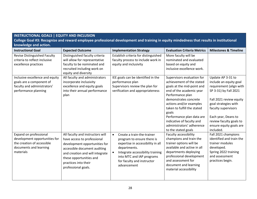|                                                                                                                                                                  | <b>INSTRUCTIONAL GOALS   EQUITY AND INCLUSION</b>                                                                                                                                                                                             |                                                                                                                                                                                                                                                       |                                                                                                                                                                                                                                                                                                                                                 |                                                                                                                                                                                                                                                                     |  |
|------------------------------------------------------------------------------------------------------------------------------------------------------------------|-----------------------------------------------------------------------------------------------------------------------------------------------------------------------------------------------------------------------------------------------|-------------------------------------------------------------------------------------------------------------------------------------------------------------------------------------------------------------------------------------------------------|-------------------------------------------------------------------------------------------------------------------------------------------------------------------------------------------------------------------------------------------------------------------------------------------------------------------------------------------------|---------------------------------------------------------------------------------------------------------------------------------------------------------------------------------------------------------------------------------------------------------------------|--|
| College Goal #3: Recognize and reward employee professional development and training in equity mindedness that results in institutional<br>knowledge and action. |                                                                                                                                                                                                                                               |                                                                                                                                                                                                                                                       |                                                                                                                                                                                                                                                                                                                                                 |                                                                                                                                                                                                                                                                     |  |
| <b>Instructional Goal</b>                                                                                                                                        | <b>Expected Outcome</b>                                                                                                                                                                                                                       | <b>Implementation Strategy</b>                                                                                                                                                                                                                        | <b>Evaluation Criteria Metrics</b>                                                                                                                                                                                                                                                                                                              | <b>Milestones &amp; Timeline</b>                                                                                                                                                                                                                                    |  |
| <b>Revise Distinguished Faculty</b><br>criteria to reflect inclusive<br>excellence practices                                                                     | Distinguished faculty criteria<br>will allow for representative<br>faculty to be nominated and<br>recruited including work on<br>equity and diversity                                                                                         | Establish criteria for distinguished<br>faculty process to include work in<br>equity and inclusivity                                                                                                                                                  | More faculty will be<br>nominated and evaluated<br>based on equity and<br>inclusive excellence work.                                                                                                                                                                                                                                            |                                                                                                                                                                                                                                                                     |  |
| Inclusive excellence and equity<br>goals are a component of<br>faculty and administrators'<br>performance planning                                               | All faculty and administrators<br>incorporate inclusivity<br>excellence and equity goals<br>into their annual performance<br>plan                                                                                                             | IEE goals can be identified in the<br>performance plan<br>Supervisors review the plan for<br>verification and appropriateness                                                                                                                         | Supervisors evaluation for<br>achievement of the stated<br>goals at the mid-point and<br>end of the academic year<br>Performance plan<br>demonstrates concrete<br>actions and/or examples<br>taken to fulfill the stated<br>goals<br>Performance plan data are<br>indicative of faculty and<br>administrators' adherence<br>to the stated goals | Update AP 3-31 to<br>include an equity goal<br>requirement (align with<br>SP 3-31) by Fall 2021<br>Fall 2021 review equity<br>goal strategies with<br>faculty supervisors<br>Each year, Deans to<br>review faculty goals to<br>ensure equity goals are<br>included. |  |
| Expand on professional<br>development opportunities for<br>the creation of accessible<br>documents and learning<br>materials                                     | All faculty and instructors will<br>have access to professional<br>development opportunities for<br>accessible document auditing<br>and creation and will integrate<br>these opportunities and<br>practices into their<br>professional goals. | $\bullet$<br>Create a train-the-trainer<br>program to ensure there is<br>expertise in accessibility in all<br>departments.<br>Integrate accessibility training<br>$\bullet$<br>into MTC and IAP programs<br>for faculty and instructor<br>advancement | Faculty accessibility<br>champions and train the<br>trainer options will be<br>available and active in all<br>departments deploying<br>professional development<br>and assessment for<br>document and learning<br>material accessibility                                                                                                        | Fall 2021 champions<br>identified and train the<br>trainer modules<br>developed.<br>Spring 2022 training<br>and assessment<br>practices begin.                                                                                                                      |  |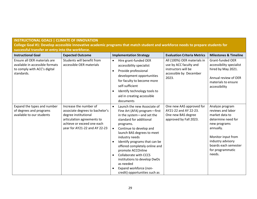## **INSTRUCTIONAL GOALS | CLIMATE OF INNOVATION**

**College Goal #1: Develop accessible innovative academic programs that match student and workforce needs to prepare students for successful transfer or entry into the workforce.** 

| <b>Instructional Goal</b>                                                                                     | <b>Expected Outcome</b>                                                                                                                                                        | <b>Implementation Strategy</b><br><b>Evaluation Criteria Metrics</b>                                                                                                                                                                                                                                                                                                                                                                                                                                                                                                                                | <b>Milestones &amp; Timeline</b>                                                                                                                                                                           |
|---------------------------------------------------------------------------------------------------------------|--------------------------------------------------------------------------------------------------------------------------------------------------------------------------------|-----------------------------------------------------------------------------------------------------------------------------------------------------------------------------------------------------------------------------------------------------------------------------------------------------------------------------------------------------------------------------------------------------------------------------------------------------------------------------------------------------------------------------------------------------------------------------------------------------|------------------------------------------------------------------------------------------------------------------------------------------------------------------------------------------------------------|
| Ensure all OER materials are<br>available in accessible formats<br>to comply with ACC's digital<br>standards. | Students will benefit from<br>accessible OER materials                                                                                                                         | All (100%) OER materials in<br>Hire grant-funded OER<br>$\bullet$<br>use by ACC faculty and<br>accessibility specialist<br>instructors will be<br>Provide professional<br>$\bullet$<br>accessible by December<br>development opportunities<br>2023.<br>for faculty to become more<br>self-sufficient<br>Identify technology tools to<br>$\bullet$<br>aid in creating accessible<br>documents                                                                                                                                                                                                        | <b>Grant-funded OER</b><br>accessibility specialist<br>hired by May 2021.<br>Annual review of OER<br>materials to ensure<br>accessibility                                                                  |
| Expand the types and number<br>of degrees and programs<br>available to our students                           | Increase the number of<br>associate degrees to bachelor's<br>degree institutional<br>articulation agreements to<br>achieve or exceed one each<br>year for AY21-22 and AY 22-23 | One new AAS approved for<br>Launch the new Associate of<br>$\bullet$<br>AY21-22 and AY 22-23.<br>Fine Art (AFA) program-first<br>One new BAS degree<br>in the system-and set the<br>approved by Fall 2023.<br>standard for additional<br>programs.<br>Continue to develop and<br>$\bullet$<br>launch BAS degrees to meet<br>industry needs<br>Identify programs that can be<br>$\bullet$<br>offered completely online and<br>promote ACCOnline<br><b>Collaborate with CCCS</b><br>$\bullet$<br>institutions to develop DwDs<br>as needed<br>Expand workforce (non-<br>credit) opportunities such as | Analyze program<br>reviews and labor<br>market data to<br>determine need for<br>new programs<br>annually.<br>Monitor input from<br>industry advisory<br>boards each semester<br>for programmatic<br>needs. |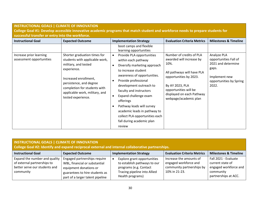| <b>INSTRUCTIONAL GOALS   CLIMATE OF INNOVATION</b>  |                                                                                                                                                                                                                                                   |                                                                                                                                                                                                                                                                                                                                                                                                                            |                                                                                                                                                                                                                        |                                                                                                                          |
|-----------------------------------------------------|---------------------------------------------------------------------------------------------------------------------------------------------------------------------------------------------------------------------------------------------------|----------------------------------------------------------------------------------------------------------------------------------------------------------------------------------------------------------------------------------------------------------------------------------------------------------------------------------------------------------------------------------------------------------------------------|------------------------------------------------------------------------------------------------------------------------------------------------------------------------------------------------------------------------|--------------------------------------------------------------------------------------------------------------------------|
|                                                     |                                                                                                                                                                                                                                                   | College Goal #1: Develop accessible innovative academic programs that match student and workforce needs to prepare students for                                                                                                                                                                                                                                                                                            |                                                                                                                                                                                                                        |                                                                                                                          |
| successful transfer or entry into the workforce.    |                                                                                                                                                                                                                                                   |                                                                                                                                                                                                                                                                                                                                                                                                                            |                                                                                                                                                                                                                        |                                                                                                                          |
| <b>Instructional Goal</b>                           | <b>Expected Outcome</b>                                                                                                                                                                                                                           | <b>Implementation Strategy</b>                                                                                                                                                                                                                                                                                                                                                                                             | <b>Evaluation Criteria Metrics</b>                                                                                                                                                                                     | <b>Milestones &amp; Timeline</b>                                                                                         |
|                                                     |                                                                                                                                                                                                                                                   | boot camps and flexible<br>learning opportunities                                                                                                                                                                                                                                                                                                                                                                          |                                                                                                                                                                                                                        |                                                                                                                          |
| Increase prior learning<br>assessment opportunities | Shorter graduation times for<br>students with applicable work,<br>military, and tested<br>experience.<br>Increased enrollment,<br>persistence, and degree<br>completion for students with<br>applicable work, military, and<br>tested experience. | Provide PLA opportunities<br>$\bullet$<br>within each pathway<br>Diversify marketing approach<br>to increase student<br>awareness of opportunities.<br>Provide professional<br>development outreach to<br>faculty and instructors<br>Expand challenge exam<br>$\bullet$<br>offerings<br>Pathway leads will survey<br>academic leads in pathway to<br>collect PLA opportunities each<br>fall during academic plan<br>review | Number of credits of PLA<br>awarded will increase by<br>10%.<br>All pathways will have PLA<br>opportunities by 2023.<br>By AY 2023, PLA<br>opportunities will be<br>displayed on each Pathway<br>webpage/academic plan | Analyze PLA<br>opportunities Fall of<br>2021 and determine<br>gaps.<br>Implement new<br>opportunities by Spring<br>2022. |

| <b>INSTRUCTIONAL GOALS   CLIMATE OF INNOVATION</b><br>College Goal #2: Identify and expand reciprocal external and internal collaborative partnerships. |                                                                                                                                                               |                                                                                                                                           |                                                                                                |                                                                                                        |
|---------------------------------------------------------------------------------------------------------------------------------------------------------|---------------------------------------------------------------------------------------------------------------------------------------------------------------|-------------------------------------------------------------------------------------------------------------------------------------------|------------------------------------------------------------------------------------------------|--------------------------------------------------------------------------------------------------------|
| <b>Instructional Goal</b>                                                                                                                               | <b>Expected Outcome</b>                                                                                                                                       | <b>Implementation Strategy</b>                                                                                                            | <b>Evaluation Criteria Metrics</b>                                                             | <b>Milestones &amp; Timeline</b>                                                                       |
| Expand the number and quality<br>of external partnerships to<br>better serve our students and<br>community                                              | Engaged partnerships require<br>WBL, financial or substantial<br>equipment donations or<br>guarantees to hire students as<br>part of a larger talent pipeline | Explore grant opportunities<br>to establish pathways to our<br>programs (e.g. Contact<br>Tracing pipeline into Allied<br>Health programs) | Increase the amounts of<br>engaged workforce and<br>community partnerships by<br>10% in 21-23. | Fall 2021 - Evaluate<br>current state of<br>engaged workforce and<br>community<br>partnerships at ACC. |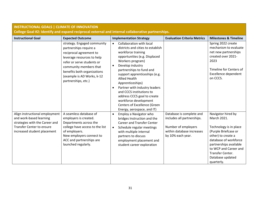| <b>INSTRUCTIONAL GOALS   CLIMATE OF INNOVATION</b>                                                                                                             |                                                                                                                                                                                                                                                            |                                                                                                                                                                                                                                                                                                                                                                                                                                                                                                        |                                                                                                                                 |                                                                                                                                                                                                                                             |
|----------------------------------------------------------------------------------------------------------------------------------------------------------------|------------------------------------------------------------------------------------------------------------------------------------------------------------------------------------------------------------------------------------------------------------|--------------------------------------------------------------------------------------------------------------------------------------------------------------------------------------------------------------------------------------------------------------------------------------------------------------------------------------------------------------------------------------------------------------------------------------------------------------------------------------------------------|---------------------------------------------------------------------------------------------------------------------------------|---------------------------------------------------------------------------------------------------------------------------------------------------------------------------------------------------------------------------------------------|
| College Goal #2: Identify and expand reciprocal external and internal collaborative partnerships.                                                              |                                                                                                                                                                                                                                                            |                                                                                                                                                                                                                                                                                                                                                                                                                                                                                                        |                                                                                                                                 |                                                                                                                                                                                                                                             |
| <b>Instructional Goal</b>                                                                                                                                      | <b>Expected Outcome</b>                                                                                                                                                                                                                                    | <b>Implementation Strategy</b>                                                                                                                                                                                                                                                                                                                                                                                                                                                                         | <b>Evaluation Criteria Metrics</b>                                                                                              | <b>Milestones &amp; Timeline</b>                                                                                                                                                                                                            |
|                                                                                                                                                                | strategy. Engaged community<br>partnerships require a<br>reciprocal agreement to<br>leverage resources to help<br>refer or serve students or<br>community members that<br>benefits both organizations<br>(example is AD Works, k-12<br>partnerships, etc.) | Collaboration with local<br>$\bullet$<br>districts and cities to establish<br>workforce training<br>opportunities (e.g. Displaced<br>Workers program)<br>Develop industry<br>$\bullet$<br>partnerships to fund and<br>support apprenticeships (e.g.<br><b>Allied Health</b><br>Apprenticeships)<br>Partner with industry leaders<br>$\bullet$<br>and CCCS institutions to<br>address CCCS goal to create<br>workforce development<br><b>Centers of Excellence (Green</b><br>Energy, aerospace, and IT) |                                                                                                                                 | Spring 2022 create<br>mechanism to evaluate<br>net new partnerships<br>created over 2021-<br>2023<br>Timeline for Centers of<br>Excellence dependent<br>on CCCS.                                                                            |
| Align instructional employment<br>and work-based learning<br>strategies with the Career and<br><b>Transfer Center to ensure</b><br>increased student placement | A seamless database of<br>employers is created.<br>Departments across the<br>college have access to the list<br>of employers.<br>New employers connect to<br>ACC and partnerships are<br>launched regularly.                                               | Employ a Navigator who<br>$\bullet$<br>bridges Instruction and the<br><b>Career and Transfer Center</b><br>Schedule regular meetings<br>$\bullet$<br>with multiple internal<br>partners to discuss<br>employment placement and<br>student career exploration                                                                                                                                                                                                                                           | Database is complete and<br>includes all partnerships.<br>Number of employers<br>within database increases<br>by 10% each year. | Navigator hired by<br>March 2021.<br>Technology is in place<br>(Purple Briefcase or<br>other) to create a<br>database of workforce<br>partnerships available<br>to WCP and Career and<br>Transfer Center.<br>Database updated<br>quarterly. |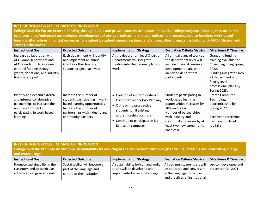#### **INSTRUCTIONAL GOALS | CLIMATE OF INNOVATION**

**College Goal #3: Pursue external funding through public and private sources to support innovative college projects including new academic programs, new/enhanced technologies, development of pre-apprenticeship and apprenticeship programs, service learning, work-based learning alternatives, financial resources for students, student support systems, and among other projects that align with ACC's Mission and strategic directions.** 

| <b>Instructional Goal</b>                                                                                                                                                        | <b>Expected Outcome</b>                                                                                                                                                      | <b>Implementation Strategy</b>                                                                                                                                                                                   | <b>Evaluation Criteria Metrics</b>                                                                                                                                                                                     | <b>Milestones &amp; Timeline</b>                                                                                                                                                                  |
|----------------------------------------------------------------------------------------------------------------------------------------------------------------------------------|------------------------------------------------------------------------------------------------------------------------------------------------------------------------------|------------------------------------------------------------------------------------------------------------------------------------------------------------------------------------------------------------------|------------------------------------------------------------------------------------------------------------------------------------------------------------------------------------------------------------------------|---------------------------------------------------------------------------------------------------------------------------------------------------------------------------------------------------|
| Increase collaboration with<br><b>ACC Grant Department and</b><br>ACC Foundation to increase<br>external funding through<br>grants, donations, and industry<br>financial support | Each department will identify<br>and implement an annual<br>Grant or other financial<br>support project each year.                                                           | At the department level Chairs of<br>Departments will integrate<br>funding into their annual plans of<br>work                                                                                                    | All annual plans of work at<br>the department level will<br>include financial resource<br>development plans with<br>identified department<br>participants.                                                             | Grant and funding<br>training available for<br><b>Chairs beginning Spring</b><br>2022.<br>Funding integrated into<br>all department and<br>faculty level<br>professional plans by<br>Spring 2023. |
| Identify and expand external<br>and internal collaborative<br>partnerships to increase the<br>number of students<br>participating in work-based<br>learning.                     | Increase the number of<br>students participating in work-<br>based learning opportunities<br>Increase the number of<br>partnerships with industry and<br>community partners. | • Creation of apprenticeships in<br>Computer Technology Pathway<br>• Outreach to prospective<br>students to fill existing<br>apprenticeship positions<br>Continue to participate in job<br>fairs at all campuses | Students participating in<br>work-based learning<br>opportunities increases by<br>10% each year.<br>Number of partnerships<br>with industry and<br>community increases by at<br>least two new agreements<br>each year. | <b>Create Computer</b><br>Technology<br>apprenticeship by<br>Spring 2022<br>Each year determine<br>participation level in<br>job fairs                                                            |

| <b>INSTRUCTIONAL GOALS   CLIMATE OF INNOVATION</b><br>College Goal #4: Promote institutional sustainability by reducing ACC's carbon footprint through recycling, reducing and controlling energy<br>and water usage. |                                                                                        |                                                                                                      |                                                                                                                           |                                               |
|-----------------------------------------------------------------------------------------------------------------------------------------------------------------------------------------------------------------------|----------------------------------------------------------------------------------------|------------------------------------------------------------------------------------------------------|---------------------------------------------------------------------------------------------------------------------------|-----------------------------------------------|
| <b>Instructional Goal</b>                                                                                                                                                                                             | <b>Expected Outcome</b>                                                                | <b>Implementation Strategy</b>                                                                       | <b>Evaluation Criteria Metrics</b>                                                                                        | <b>Milestones &amp; Timeline</b>              |
| Promote sustainability in the<br>classroom and co-curricular<br>activities to engage students                                                                                                                         | Sustainability will become a<br>part of the language and<br>culture of the institution | A sustainability lexicon and audit<br>rubric will be developed and<br>implemented across the college | All community members will<br>be educated and conversant<br>in the language, principles<br>and practices of institutional | Lexicon developed and<br>presented Fall 2021. |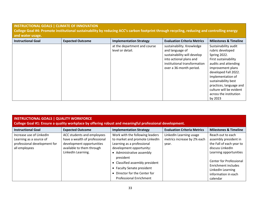#### **INSTRUCTIONAL GOALS | CLIMATE OF INNOVATION**

**College Goal #4: Promote institutional sustainability by reducing ACC's carbon footprint through recycling, reducing and controlling energy and water usage.** 

| <b>Instructional Goal</b> | <b>Expected Outcome</b> | <b>Implementation Strategy</b> | <b>Evaluation Criteria Metrics</b> | <b>Milestones &amp; Timeline</b> |
|---------------------------|-------------------------|--------------------------------|------------------------------------|----------------------------------|
|                           |                         | at the department and course   | sustainability. Knowledge          | Sustainability audit             |
|                           |                         | level or detail.               | and language of                    | rubric developed                 |
|                           |                         |                                | sustainability will develop        | Spring 2022.                     |
|                           |                         |                                | into actional plans and            | First sustainability             |
|                           |                         |                                | institutional transformation       | audits and attending             |
|                           |                         |                                | over a 36-month period.            | improvement plans                |
|                           |                         |                                |                                    | developed Fall 2022.             |
|                           |                         |                                |                                    | Implementation of                |
|                           |                         |                                |                                    | sustainability best              |
|                           |                         |                                |                                    | practices, language and          |
|                           |                         |                                |                                    | culture will be evident          |
|                           |                         |                                |                                    | across the institution           |
|                           |                         |                                |                                    | by 2023                          |

#### **INSTRUCTIONAL GOALS | QUALITY WORKFORCE**

**College Goal #1: Ensure a quality workplace by offering robust and meaningful professional development.** 

| <b>Instructional Goal</b>    | <b>Expected Outcome</b>       | <b>Implementation Strategy</b>  | <b>Evaluation Criteria Metrics</b> | <b>Milestones &amp; Timeline</b> |
|------------------------------|-------------------------------|---------------------------------|------------------------------------|----------------------------------|
| Increase use of LinkedIn     | ACC students and employees    | Work with the following leaders | LinkedIn Learning usage            | Reach out to each                |
| Learning as a source of      | have a wealth of professional | to market and promote LinkedIn  | metrics increase by 2% each        | assembly president in            |
| professional development for | development opportunities     | Learning as a professional      | year.                              | the Fall of each year to         |
| all employees                | available to them through     | development opportunity:        |                                    | discuss LinkedIn                 |
|                              | LinkedIn Learning.            | Administrative assembly         |                                    | Learning opportunities           |
|                              |                               | president                       |                                    |                                  |
|                              |                               | Classified assembly president   |                                    | <b>Center for Professional</b>   |
|                              |                               | <b>Faculty Senate president</b> |                                    | Enrichment includes              |
|                              |                               |                                 |                                    | LinkedIn Learning                |
|                              |                               | Director for the Center for     |                                    | information in each              |
|                              |                               | <b>Professional Enrichment</b>  |                                    | calendar                         |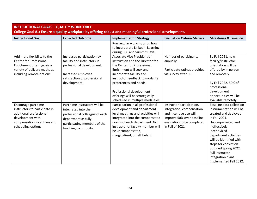| <b>INSTRUCTIONAL GOALS   QUALITY WORKFORCE</b><br>College Goal #1: Ensure a quality workplace by offering robust and meaningful professional development. |                                                                                                                                                                      |                                                                                                                                                                                                                                                                                                                        |                                                                                                                                                                 |                                                                                                                                                                                                                                                                                                                                  |  |
|-----------------------------------------------------------------------------------------------------------------------------------------------------------|----------------------------------------------------------------------------------------------------------------------------------------------------------------------|------------------------------------------------------------------------------------------------------------------------------------------------------------------------------------------------------------------------------------------------------------------------------------------------------------------------|-----------------------------------------------------------------------------------------------------------------------------------------------------------------|----------------------------------------------------------------------------------------------------------------------------------------------------------------------------------------------------------------------------------------------------------------------------------------------------------------------------------|--|
| <b>Instructional Goal</b>                                                                                                                                 | <b>Expected Outcome</b>                                                                                                                                              | <b>Implementation Strategy</b>                                                                                                                                                                                                                                                                                         | <b>Evaluation Criteria Metrics</b>                                                                                                                              | <b>Milestones &amp; Timeline</b>                                                                                                                                                                                                                                                                                                 |  |
|                                                                                                                                                           |                                                                                                                                                                      | Run regular workshops on how<br>to incorporate LinkedIn Learning<br>during BCC and Summit Days.                                                                                                                                                                                                                        |                                                                                                                                                                 |                                                                                                                                                                                                                                                                                                                                  |  |
| Add more flexibility to the<br><b>Center for Professional</b><br>Enrichment offerings via a<br>variety of delivery methods<br>including remote options    | Increased participation by<br>faculty and instructors in<br>professional development.<br>Increased employee<br>satisfaction of professional<br>development.          | Associate Vice President of<br>Instruction and the Director for<br>the Center for Professional<br>Enrichment will seek and<br>incorporate faculty and<br>instructor feedback to modality<br>preferences and needs.<br>Professional development<br>offerings will be strategically<br>scheduled in multiple modalities. | Number of participants<br>annually.<br>Participate ratings provided<br>via survey after PD.                                                                     | By Fall 2021, new<br>faculty/instructor<br>orientation will be<br>offered by in person<br>and remotely.<br>By Fall 2022, 50% of<br>professional<br>development<br>opportunities will be<br>available remotely.                                                                                                                   |  |
| Encourage part-time<br>instructors to participate in<br>additional professional<br>development with<br>compensation incentives and<br>scheduling options  | Part-time instructors will be<br>integrated into the<br>professional colleague of each<br>department as fully<br>participating members of the<br>teaching community. | Participation in all professional<br>development and department<br>level meetings and activities will<br>integrated into the compensated<br>norms of each department. No<br>instructor of faculty member will<br>be uncompensated,<br>marginalized, or left behind.                                                    | Instructor participation,<br>integration, compensation<br>and incentive use will<br>improve 50% over baseline<br>evaluation to be completed<br>in Fall of 2021. | Baseline data collection<br>instrumentation will be<br>created and deployed<br>in Fall 2021.<br>Uncompensated and<br>ineffectively<br>incentivized<br>department activities<br>will be identified with<br>steps for correction<br>outlined Spring 2022.<br><b>Full instructor</b><br>integration plans<br>implemented Fall 2022. |  |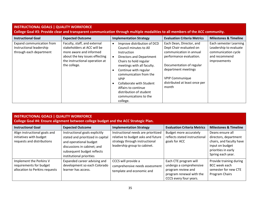#### **INSTRUCTIONAL GOALS | QUALITY WORKFORCE**

**College Goal #3: Provide clear and transparent communication through multiple modalities to all members of the ACC community.** 

| <b>Instructional Goal</b>                                                        | <b>Expected Outcome</b>                                                                                                                                                    | <b>Evaluation Criteria Metrics</b><br><b>Implementation Strategy</b>                                                                                                                                                                                                                                                                                                                                                                                                                                                                                                                     | <b>Milestones &amp; Timeline</b>                                                                         |
|----------------------------------------------------------------------------------|----------------------------------------------------------------------------------------------------------------------------------------------------------------------------|------------------------------------------------------------------------------------------------------------------------------------------------------------------------------------------------------------------------------------------------------------------------------------------------------------------------------------------------------------------------------------------------------------------------------------------------------------------------------------------------------------------------------------------------------------------------------------------|----------------------------------------------------------------------------------------------------------|
| Expand communication from<br>Instructional leadership<br>through each department | Faculty, staff, and external<br>stakeholders at ACC will be<br>more aware and informed<br>about the key issues effecting<br>the instructional operation at<br>the college. | Each Dean, Director, and<br>Improve distribution of DCD<br>Dept Chair evaluated on<br>Council minutes to All<br>communication in annual<br>Instruction<br>performance evaluation.<br>Directors and Department<br>Chairs to hold regular<br>Documentation of regular<br>meetings with all faculty.<br>department meetings<br>Continue with regular<br>communication from the<br><b>VPIP Communique</b><br><b>VPIP</b><br>distributed at least once per<br><b>Collaborate with Student</b><br>month<br>Affairs to continue<br>distribution of student<br>communications to the<br>college. | Each semester Learning<br>Leadership to evaluate<br>communication cycle<br>and recommend<br>improvements |

#### **INSTRUCTIONAL GOALS | QUALITY WORKFORCE**

**College Goal #4: Ensure alignment between college budget and the ACC Strategic Plan.** 

| <b>Instructional Goal</b>                                                              | <b>Expected Outcome</b>                                                                                                                                                                | <b>Implementation Strategy</b>                                                                                                              | <b>Evaluation Criteria Metrics</b>                                                                                           | <b>Milestones &amp; Timeline</b>                                                                                                     |
|----------------------------------------------------------------------------------------|----------------------------------------------------------------------------------------------------------------------------------------------------------------------------------------|---------------------------------------------------------------------------------------------------------------------------------------------|------------------------------------------------------------------------------------------------------------------------------|--------------------------------------------------------------------------------------------------------------------------------------|
| Align instructional goals and<br>initiatives with budget<br>requests and distributions | Instructional goals explicitly<br>stated and prioritized in capital<br>and operational budget<br>discussions in cabinet; and<br>subsequent budget reflects<br>institutional priorities | Instructional needs are prioritized<br>relative to budget asks and future<br>strategy through instructional<br>leadership group to cabinet. | <b>Budget more accurately</b><br>reflects stated instructional<br>goals for ACC                                              | Deans ensure all<br>directors, department<br>chairs, and faculty have<br>input on budget<br>priorities in early<br>Spring each year. |
| Implement the Perkins V<br>requirements for budget<br>allocation to Perkins requests   | Expanded career advising and<br>development so each Colorado<br>learner has access.                                                                                                    | CCCS will provide a<br>comprehensive needs assessment<br>template and economic and                                                          | Each CTE program will<br>undergo a comprehensive<br>program review and<br>program renewal with the<br>CCCS every four years. | Provide training during<br><b>BCC</b> week each<br>semester for new CTE<br>Program Chairs                                            |